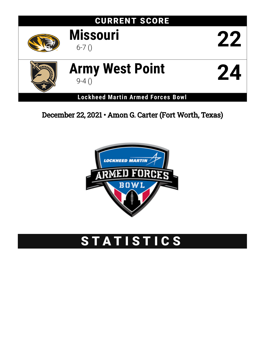## CURRENT SCORE



# **Army West Point** 9-4 () **24**



**Missouri**

**Lockheed Martin Armed Forces Bowl**

December 22, 2021 • Amon G. Carter (Fort Worth, Texas)



# STATISTICS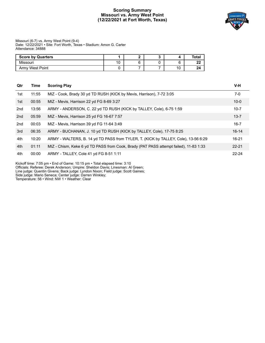#### **Scoring Summary Missouri vs. Army West Point (12/22/2021 at Fort Worth, Texas)**



#### Missouri (6-7) vs. Army West Point (9-4) Date: 12/22/2021 • Site: Fort Worth, Texas • Stadium: Amon G. Carter Attendance: 34888

| <b>Score by Quarters</b> |    |  |    | Totaı     |
|--------------------------|----|--|----|-----------|
| Missouri                 | 10 |  |    | n n<br>44 |
| Army West Point          |    |  | 10 | 24        |

| Qtr | Time  | <b>Scoring Play</b>                                                                   | V-H       |
|-----|-------|---------------------------------------------------------------------------------------|-----------|
| 1st | 11:55 | MIZ - Cook, Brady 30 yd TD RUSH (KICK by Mevis, Harrison), 7-72 3:05                  | 7-0       |
| 1st | 00:55 | MIZ - Mevis, Harrison 22 yd FG 8-69 3:27                                              | $10 - 0$  |
| 2nd | 13:56 | ARMY - ANDERSON, C. 22 yd TD RUSH (KICK by TALLEY, Cole), 6-75 1:59                   | $10 - 7$  |
| 2nd | 05:59 | MIZ - Mevis, Harrison 25 yd FG 16-67 7:57                                             | $13 - 7$  |
| 2nd | 00:03 | MIZ - Mevis, Harrison 39 yd FG 11-64 3:49                                             | $16 - 7$  |
| 3rd | 06:35 | ARMY - BUCHANAN, J. 10 yd TD RUSH (KICK by TALLEY, Cole), 17-75 8:25                  | $16 - 14$ |
| 4th | 10:20 | ARMY - WALTERS, B. 14 yd TD PASS from TYLER, T. (KICK by TALLEY, Cole), 13-56 6:29    | $16 - 21$ |
| 4th | 01:11 | MIZ - Chism, Keke 6 yd TD PASS from Cook, Brady (PAT PASS attempt failed), 11-83 1:33 | $22 - 21$ |
| 4th | 00:00 | ARMY - TALLEY, Cole 41 yd FG 8-51 1:11                                                | $22 - 24$ |

Kickoff time: 7:05 pm • End of Game: 10:15 pm • Total elapsed time: 3:10

Officials: Referee: Derek Anderson; Umpire: Sheldon Davis; Linesman: Al Green;

Line judge: Quentin Givens; Back judge: Lyndon Nixon; Field judge: Scott Gaines;

Side judge: Mario Seneca; Center judge: Darren Winkley;

Temperature: 56 • Wind: NW 1 • Weather: Clear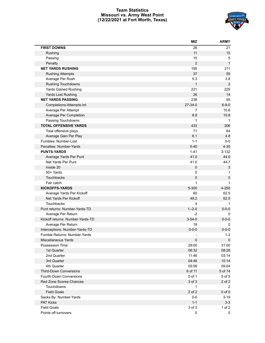#### **Team Statistics Missouri vs. Army West Point (12/22/2021 at Fort Worth, Texas)**



|                                  | <b>MIZ</b>     | <b>ARMY</b>    |
|----------------------------------|----------------|----------------|
| <b>FIRST DOWNS</b>               | 28             | 21             |
| Rushing                          | 11             | 15             |
| Passing                          | 15             | 5              |
| Penalty                          | $\overline{2}$ | $\mathbf{1}$   |
| <b>NET YARDS RUSHING</b>         | 195            | 211            |
| <b>Rushing Attempts</b>          | 37             | 55             |
| Average Per Rush                 | 5.3            | 3.8            |
| <b>Rushing Touchdowns</b>        | $\mathbf{1}$   | $\overline{2}$ |
| <b>Yards Gained Rushing</b>      | 221            | 225            |
| Yards Lost Rushing               | 26             | 14             |
| <b>NET YARDS PASSING</b>         | 238            | 95             |
| Completions-Attempts-Int         | $27 - 34 - 0$  | $6 - 9 - 0$    |
| Average Per Attempt              | $\overline{7}$ | 10.6           |
| Average Per Completion           | 8.8            | 15.8           |
| Passing Touchdowns               | 1              | $\mathbf 1$    |
| <b>TOTAL OFFENSIVE YARDS</b>     | 433            | 306            |
| Total offensive plays            | 71             | 64             |
| Average Gain Per Play            | 6.1            | 4.8            |
| Fumbles: Number-Lost             | $1 - 1$        | $0-0$          |
| Penalties: Number-Yards          | $5 - 40$       | $4 - 35$       |
| <b>PUNTS-YARDS</b>               | $1 - 41$       | $3 - 132$      |
| Average Yards Per Punt           | 41.0           | 44.0           |
| Net Yards Per Punt               | 41.0           | 44.7           |
| Inside 20                        | 0              | 3              |
| 50+ Yards                        | 0              | 1              |
| Touchbacks                       | 0              | $\pmb{0}$      |
| Fair catch                       | 1              | 1              |
| <b>KICKOFFS-YARDS</b>            | 5-300          | 4-250          |
| Average Yards Per Kickoff        | 60             | 62.5           |
| Net Yards Per Kickoff            | 49.2           | 62.5           |
| Touchbacks                       | 4              | $\mathbf{1}$   |
| Punt returns: Number-Yards-TD    | $1 - 2 - 0$    | $0 - 0 - 0$    |
| Average Per Return               | $-2$           | 0              |
| Kickoff returns: Number-Yards-TD | $3 - 54 - 0$   | $0 - 0 - 0$    |
| Average Per Return               | 18             | 0              |
| Interceptions: Number-Yards-TD   | $0 - 0 - 0$    | $0 - 0 - 0$    |
| Fumble Returns: Number-Yards     |                | $1 - 3$        |
| Miscellaneous Yards              | $\pmb{0}$      | $\mathbf 0$    |
| Possession Time                  | 29:00          | 31:00          |
| 1st Quarter                      | 06:32          | 08:28          |
| 2nd Quarter                      | 11:46          | 03:14          |
| 3rd Quarter                      | 04:46          | 10:14          |
| 4th Quarter                      | 05:56          | 09:04          |
| <b>Third-Down Conversions</b>    | 6 of 11        | 5 of 14        |
| Fourth-Down Conversions          | 0 of 1         | 5 of 5         |
| Red Zone Scores-Chances          | 3 of 3         | 2 of 2         |
| Touchdowns                       | 1              | $\overline{2}$ |
| <b>Field Goals</b>               | 2 of 2         | $0$ of $0$     |
| Sacks By: Number-Yards           | $0-0$          | $3 - 19$       |
| PAT Kicks                        | $1 - 1$        | $3 - 3$        |
| <b>Field Goals</b>               | 3 of 3         | $1$ of $2$     |
| Points off turnovers             | 0              | 0              |
|                                  |                |                |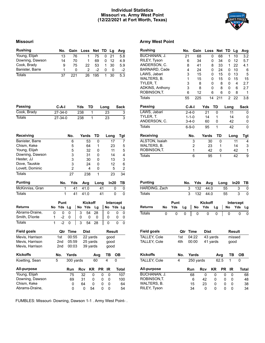#### **Individual Statistics Missouri vs. Army West Point (12/22/2021 at Fort Worth, Texas)**



#### **Missouri Army West Point**

| <b>Rushing</b>  | No. |     | Gain Loss Net TD Lg |      |   |       | Avg |
|-----------------|-----|-----|---------------------|------|---|-------|-----|
| Young, Elijah   | 13  | 76  |                     | 75.  |   | 0, 21 | 5.8 |
| Downing, Dawson | 14  | 70  |                     | 69   |   | 12    | 4.9 |
| Cook, Brady     | 9   | 75  | 22                  | 53   | 1 | 30    | 5.9 |
| Banister, Barre |     |     | 2                   | $-2$ |   | 0     | -2  |
| Totals          | 37  | 221 | 26                  | 195  |   | 30    | 5.3 |

| Passing     | C-A-I         | Yds | TD. | Long | Sack |
|-------------|---------------|-----|-----|------|------|
| Cook, Brady | $27 - 34 - 0$ | 238 |     | 23   | 3    |
| Totals      | $27 - 34 - 0$ | 238 |     | 23   | 3    |

| Receiving          |    |             | No.            |    | Yards |                | TD  |           | Long           |               | Tgt            |
|--------------------|----|-------------|----------------|----|-------|----------------|-----|-----------|----------------|---------------|----------------|
| Banister, Barre    |    |             | 6              |    |       | 53             | 0   |           |                | 17            | $\overline{7}$ |
| Chism, Keke        |    |             | 5              |    |       | 64             | 1   |           |                | 23            | 5              |
| Young, Elijah      |    |             | 5              |    |       | 32             | 0   |           |                | 11            | 5              |
| Downing, Dawson    |    |             | 3              |    |       | 31             | 0   |           |                | 14            | 4              |
| Hester, JJ         |    |             | 3              |    |       | 30             | 0   |           |                | 13            | 3              |
| Dove, Tauskie      |    |             | 3              |    |       | 24             | 0   |           |                | 12            | 6              |
| Lovett, Dominic    |    |             | $\overline{2}$ |    |       | 4              | 0   |           |                | 5             | $\overline{2}$ |
| <b>Totals</b>      |    |             | 27             |    |       | 238            | 1   |           |                | 23            | 34             |
| <b>Punting</b>     |    | No.         | Yds            |    |       | Avg            |     | Long      |                | In20          | TВ             |
| McKinniss, Gran    |    | 1           |                | 41 |       | 41.0           |     | 41        |                | 0             | 0              |
| <b>Totals</b>      |    | 1           |                | 41 |       | 41.0           |     | 41        |                | 0             | 0              |
|                    |    | Punt        |                |    |       | <b>Kickoff</b> |     |           |                | Intercept     |                |
| <b>Returns</b>     | No | Yds         | Lg             |    | No    | Yds            | Lg  |           | No             | Yds           | Lg             |
| Abrams-Draine,     | 0  | $\mathbf 0$ | 0              |    | 3     | 54             | 28  |           | 0              | 0             | $\Omega$       |
| Smith, D'ionte     | 1  | $-2$        | 0              |    | 0     | 0              | 0   |           | 0              | 0             | 0              |
| <b>Totals</b>      | 1  | $-2$        | 0              |    | 3     | 54             | 28  |           | $\overline{0}$ | 0             | 0              |
| <b>Field goals</b> |    | Qtr         | <b>Time</b>    |    |       | <b>Dist</b>    |     |           |                | <b>Result</b> |                |
| Mevis, Harrison    |    | 1st         | 00:55          |    |       | 22 yards       |     |           | good           |               |                |
| Mevis, Harrison    |    | 2nd         | 05:59          |    |       | 25 yards       |     |           | good           |               |                |
| Mevis, Harrison    |    | 2nd         | 00:03          |    |       | 39 yards       |     |           | good           |               |                |
| <b>Kickoffs</b>    |    | No.         | Yards          |    |       |                | Avg |           | TВ             | OВ            |                |
| Koetting, Sean     |    | 5           | 300 yards      |    |       |                | 60  |           | 4              | $\mathbf{0}$  |                |
| All-purpose        |    |             | Run            |    | Rcv   | <b>KR</b>      |     | <b>PR</b> | <b>IR</b>      |               | Total          |
| Young, Elijah      |    |             | 75             |    | 32    |                | 0   | 0         | 0              |               | 107            |
| Downing, Dawson    |    |             | 69             |    | 31    |                | 0   | 0         | 0              |               | 100            |
| Chism, Keke        |    |             | 0              |    | 64    |                | 0   | 0         | 0              |               | 64             |
| Abrams-Draine,     |    |             | 0              |    | 0     |                | 54  | 0         | 0              |               | 54             |

BUCHANAN, J. 21 68 0 68 1 10 3.2 RILEY, Tyson 6 34 0 34 0 12 5.7 ANDERSON, C. 8 41 8 33 1 22 4.1 BARNARD, Cade 4 24 0 24 0 10 6 LAWS, Jabari 3 15 0 15 0 13 5 WALTERS, B. 1 15 0 15 0 15 15 TYLER, T. 3 8 0 8 0 4 2.7 ADKINS, Anthony 3 8 0 8 0 6 2.7 ROBINSON,T. 6 12 6 6 0 8 1 Totals 55 225 14 211 2 22 3.8 **Passing C-A-I Yds TD Long Sack** LAWS, Jabari 2-4-0 21 0 11 0 TYLER, T. 1-1-0 14 1 14 0 ANDERSON, C. Totals 6-9-0 95 1 42 0 **Receiving No. Yards TD Long Tgt** ALSTON, Isaiah 3 30 0 11 4 VALTERS, B. 2 23 1 14<br>ROBINSON,T. 1 42 0 42 ROBINSON, T. 1 42 0 42 1

**Rushing No. Gain Loss Net TD Lg Avg**

| <b>Punting</b> |    |      | No. | Yds | Avg            |    | Long | In20       | ΤВ |
|----------------|----|------|-----|-----|----------------|----|------|------------|----|
| HARDING, Zach  |    |      | 3   | 132 | 44.0           |    | 55   | 3          | O  |
| Totals         |    |      | 3   | 132 | 44.0           |    | 55   | 3          |    |
|                |    | Punt |     |     | <b>Kickoff</b> |    |      | Intercept  |    |
| <b>Returns</b> | No | Yds  | La  | No  | Yds            | Lg | No   | <b>Yds</b> | Lg |
| Totals         | 0  |      | 0   | 0   | 0              | 0  |      |            |    |

Totals 6 95 1 42 9

| <b>Field goals</b>  | Qtr | Time      |                   | <b>Dist</b> |     | Result |              |  |
|---------------------|-----|-----------|-------------------|-------------|-----|--------|--------------|--|
| <b>TALLEY, Cole</b> | 1st |           | 04:22<br>43 yards |             |     | missed |              |  |
| <b>TALLEY, Cole</b> | 4th | 00:00     |                   | 41 yards    |     | good   |              |  |
|                     |     |           |                   |             |     |        |              |  |
| <b>Kickoffs</b>     | No. | Yards     |                   |             | Avg | ΤВ     | OВ           |  |
| TALLEY, Cole        | 4   | 250 yards |                   | 62.5        |     | 1      | 0            |  |
| All-purpose         |     | Run       | Rcv               | KR          | PR. | -IR    | <b>Total</b> |  |
| BUCHANAN, J.        |     | 68        | 0                 | 0           | 0   | 0      | 68           |  |
| ROBINSON, T.        |     | 6         | 42                | 0           | 0   | 0      | 48           |  |
| WALTERS, B.         |     | 15        | 23                | 0           | 0   | 0      | 38           |  |
| RILEY, Tyson        |     | 34        | 0                 | 0           | 0   | 0      | 34           |  |

FUMBLES: Missouri- Downing, Dawson 1-1 . Army West Point- .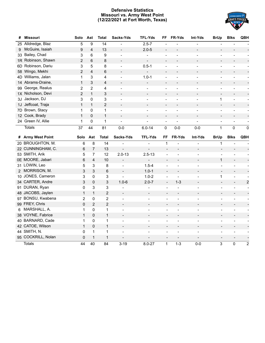#### **Defensive Statistics Missouri vs. Army West Point (12/22/2021 at Fort Worth, Texas)**



| #   | <b>Missouri</b>    | Solo           | Ast                     | <b>Total</b>    | Sacks-Yds                    | <b>TFL-Yds</b>           | FF                       | FR-Yds                   | Int-Yds                  | <b>BrUp</b>                  | <b>Blks</b>              | QBH            |
|-----|--------------------|----------------|-------------------------|-----------------|------------------------------|--------------------------|--------------------------|--------------------------|--------------------------|------------------------------|--------------------------|----------------|
| 25  | Alldredge, Blaz    | 5              | 9                       | 14              |                              | $2.5 - 7$                |                          |                          |                          |                              |                          |                |
| 9   | McGuire, Isaiah    | 9              | $\overline{\mathbf{4}}$ | 13              | $\blacksquare$               | $2.0 - 5$                |                          |                          |                          | $\overline{a}$               |                          |                |
| 33  | Bailey, Chad       | 3              | 6                       | 9               | $\overline{a}$               | $\overline{\phantom{0}}$ | $\blacksquare$           | $\overline{a}$           | $\blacksquare$           | $\overline{\phantom{a}}$     | $\overline{\phantom{a}}$ |                |
| 1R  | Robinson, Shawn    | 2              | 6                       | 8               | $\overline{\phantom{a}}$     | $\overline{a}$           |                          |                          |                          | $\overline{a}$               |                          |                |
| 6D  | Robinson, Dariu    | 3              | 5                       | 8               |                              | $0.5 - 1$                |                          | $\overline{a}$           |                          | ÷                            | $\overline{\phantom{a}}$ |                |
| 58  | Wingo, Mekhi       | $\overline{2}$ | 4                       | $6\phantom{1}6$ | $\overline{\phantom{a}}$     | $\overline{\phantom{a}}$ | $\overline{\phantom{a}}$ | $\overline{a}$           |                          | $\overline{\phantom{0}}$     |                          |                |
| 4D  | Williams, Jalan    | $\mathbf{1}$   | 3                       | 4               |                              | $1.0 - 1$                |                          |                          |                          | ÷                            |                          |                |
|     | 14 Abrams-Draine,  | $\mathbf{1}$   | 3                       | $\overline{4}$  |                              | $\overline{\phantom{0}}$ | $\overline{\phantom{a}}$ |                          |                          | $\overline{a}$               |                          |                |
| 99  | George, Realus     | $\overline{2}$ | $\overline{2}$          | 4               |                              |                          |                          |                          |                          | $\overline{a}$               |                          |                |
| 1X  | Nicholson, Devi    | 2              | $\mathbf{1}$            | 3               |                              |                          |                          |                          |                          | $\overline{a}$               |                          |                |
| 3J  | Jackson, DJ        | 3              | 0                       | 3               |                              | -                        | ÷                        |                          |                          | 1                            |                          |                |
| 1J  | Jeffcoat, Traja    | $\mathbf{1}$   | $\mathbf{1}$            | $\overline{2}$  | $\overline{\phantom{a}}$     | $\overline{\phantom{0}}$ | $\overline{\phantom{0}}$ |                          |                          | $\qquad \qquad -$            | $\overline{\phantom{a}}$ |                |
| 7D. | Brown, Stacy       | $\mathbf 1$    | 0                       | $\mathbf{1}$    | $\overline{a}$               | $\overline{\phantom{0}}$ | $\overline{\phantom{a}}$ | $\overline{a}$           | $\blacksquare$           | $\overline{\phantom{a}}$     | $\overline{a}$           |                |
|     | 12 Cook, Brady     | $\mathbf{1}$   | 0                       | $\mathbf{1}$    | $\overline{\phantom{a}}$     | $\qquad \qquad -$        | $\overline{\phantom{a}}$ | $\overline{\phantom{0}}$ | $\blacksquare$           | $\overline{a}$               | $\overline{\phantom{a}}$ |                |
|     | 24 Green IV, Allie | 1              | 0                       | 1               | $\overline{a}$               | $\overline{a}$           | $\blacksquare$           | $\overline{a}$           | $\blacksquare$           | $\overline{\phantom{a}}$     | $\overline{\phantom{a}}$ |                |
|     | <b>Totals</b>      | 37             | 44                      | 81              | $0-0$                        | $6.0 - 14$               | $\mathbf 0$              | $0-0$                    | $0 - 0$                  | $\mathbf{1}$                 | $\pmb{0}$                | $\mathbf 0$    |
|     | # Army West Point  |                | Solo Ast                | <b>Total</b>    | Sacks-Yds                    | <b>TFL-Yds</b>           | FF                       | FR-Yds                   | Int-Yds                  | <b>BrUp</b>                  | <b>Blks</b>              | QBH            |
|     |                    |                |                         |                 |                              |                          |                          |                          | $\overline{\phantom{a}}$ | $\mathbf{1}$                 | $\overline{a}$           |                |
|     | 20 BROUGHTON, M.   | 6              | 8                       | 14              | $\blacksquare$               | $\blacksquare$           | $\mathbf{1}$             |                          |                          |                              |                          |                |
|     | 22 CUNNINGHAM, C.  | 6              | $\overline{7}$          | 13              | $\overline{a}$               | $\overline{a}$           | $\overline{a}$           |                          | $\overline{\phantom{a}}$ | $\overline{\phantom{a}}$     |                          |                |
|     | 53 SMITH, Arik     | 5              | $\overline{7}$          | 12              | $2.0 - 13$                   | $2.5 - 13$               | $\overline{\phantom{a}}$ |                          | $\overline{\phantom{a}}$ | $\overline{a}$               | $\overline{\phantom{0}}$ |                |
|     | 0E MOORE, Jabari   | 6              | $\overline{4}$          | 10              | $\overline{\phantom{0}}$     | $\overline{\phantom{0}}$ | $\overline{\phantom{a}}$ |                          | $\overline{a}$           | $\mathbf{1}$                 |                          |                |
|     | 31 LOWIN, Leo      | 5              | 3                       | 8               | $\overline{\phantom{a}}$     | $1.5 - 4$                | $\overline{\phantom{a}}$ | $\overline{a}$           | ÷                        | $\overline{\phantom{a}}$     |                          |                |
|     | 2 MORRISON, M.     | 3              | 3                       | 6               | $\overline{\phantom{a}}$     | $1.0 - 1$                | $\overline{\phantom{a}}$ | $\overline{a}$           | $\overline{\phantom{a}}$ | $\qquad \qquad \blacksquare$ | $\overline{\phantom{0}}$ |                |
|     | 10 JONES, Cameron  | 3              | 0                       | 3               | $\overline{a}$               | $1.0 - 2$                | $\overline{\phantom{a}}$ | $\overline{a}$           | $\blacksquare$           | $\mathbf 1$                  | $\blacksquare$           |                |
|     | 34 CARTER, Andre   | 3              | 0                       | 3               | $1.0 - 6$                    | $2.0 - 7$                | $\overline{\phantom{a}}$ | $1 - 3$                  | $\overline{\phantom{a}}$ | $\overline{\phantom{a}}$     | $\overline{\phantom{a}}$ | $\overline{2}$ |
|     | 91 DURAN, Ryan     | 0              | 3                       | 3               |                              | $\blacksquare$           | $\overline{\phantom{a}}$ |                          | $\blacksquare$           | $\overline{\phantom{a}}$     | $\blacksquare$           |                |
|     | 48 JACOBS, Jaylen  | $\mathbf{1}$   | $\mathbf{1}$            | $\overline{2}$  | $\qquad \qquad -$            | $\overline{\phantom{a}}$ | $\overline{\phantom{a}}$ | $\blacksquare$           | $\overline{\phantom{a}}$ | $\overline{\phantom{a}}$     | $\overline{\phantom{0}}$ |                |
|     | 97 BONSU, Kwabena  | $\overline{c}$ | 0                       | 2               | $\overline{\phantom{a}}$     | $\overline{a}$           | $\overline{\phantom{a}}$ |                          |                          |                              |                          |                |
|     | 99 FREY, Chris     | 0              | $\overline{2}$          | $\overline{2}$  | $\overline{\phantom{a}}$     | $\overline{\phantom{a}}$ | $\overline{\phantom{a}}$ | $\overline{\phantom{a}}$ | $\overline{\phantom{a}}$ | $\overline{\phantom{a}}$     | $\overline{\phantom{0}}$ |                |
| 6   | MARSHALL, A.       | $\mathbf{1}$   | 0                       | 1               | $\overline{a}$               |                          | $\overline{a}$           |                          |                          |                              |                          |                |
|     | 38 VOYNE, Fabrice  | $\mathbf{1}$   | $\mathbf 0$             | $\mathbf{1}$    | $\overline{\phantom{a}}$     | $\overline{\phantom{a}}$ | $\overline{\phantom{a}}$ |                          | $\overline{\phantom{a}}$ | $\overline{\phantom{a}}$     | $\overline{\phantom{m}}$ |                |
|     | 40 BARNARD, Cade   | $\mathbf{1}$   | 0                       | 1               | $\overline{a}$               |                          | $\overline{a}$           |                          |                          |                              |                          |                |
|     | 42 CATOE, Wilson   | $\mathbf{1}$   | $\mathbf 0$             | $\mathbf{1}$    | $\overline{\phantom{a}}$     | $\overline{\phantom{a}}$ | $\overline{\phantom{a}}$ |                          | $\overline{\phantom{a}}$ | $\overline{\phantom{a}}$     |                          |                |
|     | 44 SMITH, N.       | 0              | 1                       | 1               | ÷                            |                          | ÷                        |                          |                          | $\overline{a}$               |                          |                |
|     | 95 COCKRILL, Nolan | $\mathbf 0$    | $\mathbf{1}$            | 1               | $\qquad \qquad \blacksquare$ | $\overline{\phantom{0}}$ | $\overline{\phantom{a}}$ | $\blacksquare$           | $\overline{\phantom{a}}$ | $\overline{\phantom{a}}$     | $\overline{\phantom{a}}$ |                |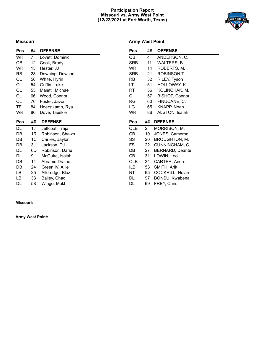#### **Participation Report Missouri vs. Army West Point (12/22/2021 at Fort Worth, Texas)**



#### **Missouri**

#### **Army West Point**

| Pos       | ##             | <b>OFFENSE</b>  | Pos          | ##             | <b>OFFENSE</b>         |
|-----------|----------------|-----------------|--------------|----------------|------------------------|
| <b>WR</b> | $\overline{7}$ | Lovett, Dominic | QB           | 4              | ANDERSON, C.           |
| QB        | 12             | Cook, Brady     | <b>SRB</b>   | 11             | WALTERS, B.            |
| <b>WR</b> | 13             | Hester, JJ      | WR           | 14             | ROBERTS, M.            |
| RB        | 28             | Downing, Dawson | <b>SRB</b>   | 21             | ROBINSON, T.           |
| OL        | 50             | White, Hyrin    | RB           | 32             | RILEY, Tyson           |
| OL        | 54             | Griffin, Luke   | LT.          | 51             | HOLLOWAY, K.           |
| OL        | 55             | Maietti, Michae | <b>RT</b>    | 56             | KOLINCHAK, M.          |
| OL        | 66             | Wood, Connor    | $\mathsf{C}$ | 57             | <b>BISHOP, Connor</b>  |
| OL        | 76             | Foster, Javon   | <b>RG</b>    | 60             | FINUCANE, C.           |
| TE.       | 84             | Hoerstkamp, Rya | LG           | 65             | KNAPP, Noah            |
| <b>WR</b> | 86             | Dove, Tauskie   | <b>WR</b>    | 86             | ALSTON, Isaiah         |
|           |                |                 |              |                |                        |
| Pos       | ##             | <b>DEFENSE</b>  | Pos          | ##             | <b>DEFENSE</b>         |
| DL        | 1J             | Jeffcoat, Traja | <b>OLB</b>   | $\overline{2}$ | MORRISON, M.           |
| DB        | 1R             | Robinson, Shawn | CВ           | 10             | JONES, Cameron         |
| DB        | 1 <sup>C</sup> | Carlies, Jaylon | SS           | 20             | BROUGHTON, M.          |
| DB        | 3J             | Jackson, DJ     | FS           | 22             | CUNNINGHAM, C.         |
| DL        | 6D             | Robinson, Dariu | DB           | 27             | <b>BERNARD, Deante</b> |
| DL        | 9              | McGuire, Isaiah | CВ           | 31             | LOWIN, Leo             |
| DB        | 14             | Abrams-Draine,  | <b>OLB</b>   | 34             | CARTER, Andre          |
| DB        | 24             | Green IV, Allie | ILB          | 53             | SMITH, Arik            |
| LB        | 25             | Alldredge, Blaz | NT           | 95             | COCKRILL, Nolan        |
| LB        | 33             | Bailey, Chad    | DL           | 97             | BONSU, Kwabena         |

**Missouri:**

**Army West Point:**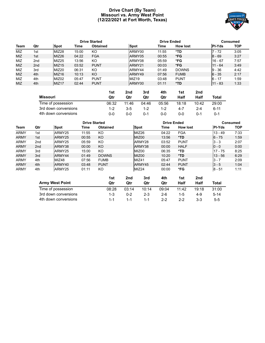#### **Drive Chart (By Team) Missouri vs. Army West Point (12/22/2021 at Fort Worth, Texas)**



|             |                 | <b>Drive Started</b> |       |                 |                        |                   |     |       | Consumed        |     |               |            |
|-------------|-----------------|----------------------|-------|-----------------|------------------------|-------------------|-----|-------|-----------------|-----|---------------|------------|
| <b>Team</b> | Qtr             | Spot                 | Time  | <b>Obtained</b> |                        | Spot              |     | Time  | <b>How lost</b> |     | <b>PI-Yds</b> | <b>TOP</b> |
| <b>MIZ</b>  | 1st             | MIZ <sub>28</sub>    | 15:00 | KO              |                        | ARMY00            |     | 11:55 | *TD             |     | $7 - 72$      | 3:05       |
| <b>MIZ</b>  | 1st             | MIZ <sub>26</sub>    | 04:22 | <b>FGA</b>      |                        | ARMY05            |     | 00:55 | *FG             |     | $8 - 69$      | 3:27       |
| <b>MIZ</b>  | 2 <sub>nd</sub> | MIZ <sub>25</sub>    | 13:56 | KO              |                        | ARMY08            |     | 05:59 | *FG             |     | $16 - 67$     | 7:57       |
| <b>MIZ</b>  | 2 <sub>nd</sub> | MIZ <sub>15</sub>    | 03:52 | <b>PUNT</b>     |                        | ARMY21            |     | 00:03 | *FG             |     | $11 - 64$     | 3:49       |
| <b>MIZ</b>  | 3rd             | MIZ <sub>20</sub>    | 06:31 | KO              |                        | ARMY44            |     | 01:49 | <b>DOWNS</b>    |     | $9 - 36$      | 4:42       |
| <b>MIZ</b>  | 4th             | MIZ <sub>16</sub>    | 10:13 | KO.             |                        | ARMY49            |     | 07:56 | <b>FUMB</b>     |     | $6 - 35$      | 2:17       |
| <b>MIZ</b>  | 4th             | MIZ02                | 05:47 | <b>PUNT</b>     |                        | MIZ <sub>19</sub> |     | 03:48 | <b>PUNT</b>     |     | $6 - 17$      | 1:59       |
| <b>MIZ</b>  | 4th             | MIZ <sub>17</sub>    | 02:44 | <b>PUNT</b>     |                        | ARMY00            |     | 01:11 | *TD             |     | $11 - 83$     | 1:33       |
|             |                 |                      |       |                 |                        |                   |     |       |                 |     |               |            |
|             |                 |                      |       |                 | 1 <sub>st</sub><br>2nd |                   | 3rd | 4th   | 1 ct            | 2nd |               |            |

|                      | ารเ   | zna   | 3ra     | 4tn   | 1ST.    | zna     |         |
|----------------------|-------|-------|---------|-------|---------|---------|---------|
| Missouri             | Qtr   | Otr   | Qtr     | Qtr   | Half    | Half    | Total   |
| Time of possession   | 06:32 | 11.46 | 04:46   | 05:56 | 18:18   | 10:42   | 29:00   |
| 3rd down conversions | 1-2   | 3-5   | $1 - 2$ | 1-2   | 4-7     | $2 - 4$ | 6-11    |
| 4th down conversions | 0-0   | ი-ი   | 0-1     | ი-ი   | $0 - 0$ | 0-1     | $0 - 1$ |

|             |                                            |                        |       | <b>Drive Started</b> |         |                   | <b>Drive Ended</b> | Consumed        |         |               |            |
|-------------|--------------------------------------------|------------------------|-------|----------------------|---------|-------------------|--------------------|-----------------|---------|---------------|------------|
| Team        | Qtr                                        | Spot                   | Time  | <b>Obtained</b>      |         | <b>Spot</b>       | Time               | <b>How lost</b> |         | <b>PI-Yds</b> | <b>TOP</b> |
| <b>ARMY</b> | 1st                                        | ARMY25                 | 11:55 | KO.                  |         | MIZ26             | 04:22              | <b>FGA</b>      |         | $13 - 49$     | 7:33       |
| <b>ARMY</b> | 1st                                        | ARMY25                 | 00:55 | KO                   |         | MIZ00             | 13:56              | $*TD$           |         | $6 - 75$      | 1:59       |
| <b>ARMY</b> | 2nd                                        | ARMY25                 | 05:59 | KO.                  |         | ARMY28            | 03:52              | <b>PUNT</b>     |         | $3 - 3$       | 2:07       |
| <b>ARMY</b> | 2nd                                        | ARMY38                 | 00:00 | KO                   | ARMY38  |                   | 00:00              | <b>HALF</b>     |         | $0 - 0$       | 0:00       |
| <b>ARMY</b> | 3rd                                        | ARMY25                 | 15:00 | KO.                  | MIZ00   |                   | 06:35              | *TD             |         | $17 - 75$     | 8:25       |
| <b>ARMY</b> | 3rd                                        | ARMY44                 | 01:49 | <b>DOWNS</b>         |         | MIZ00             | 10:20              | $*TD$           |         | $13 - 56$     | 6:29       |
| <b>ARMY</b> | 4th                                        | MIZ48                  | 07:56 | <b>FUMB</b>          |         | MIZ41             | 05:47              | <b>PUNT</b>     |         | $3 - 7$       | 2:09       |
| <b>ARMY</b> | 4th                                        | ARMY40                 | 03:48 | <b>PUNT</b>          |         | ARMY45            | 02:44              | <b>PUNT</b>     |         | $3 - 5$       | 1:04       |
| <b>ARMY</b> | 4th                                        | ARMY25                 | 01:11 | KO.                  |         | MIZ <sub>24</sub> | 00:00              | *FG             |         | $8 - 51$      | 1:11       |
|             |                                            |                        |       | 1st                  | 2nd     | 3rd               | 4th                | 1st             | 2nd     |               |            |
|             |                                            | <b>Army West Point</b> |       | Qtr                  | Qtr     | Qtr               | Qtr                | <b>Half</b>     | Half    | <b>Total</b>  |            |
|             | Time of possession<br>3rd down conversions |                        |       | 08:28                | 03:14   | 10:14             | 09:04              | 11:42           | 19:18   | 31:00         |            |
|             |                                            |                        |       | $1 - 3$              | $0 - 2$ | $2 - 3$           | $2-6$              | $1-5$           | $4 - 9$ | $5 - 14$      |            |
|             |                                            | 4th down conversions   |       | $1 - 1$              | $1 - 1$ | $1 - 1$           | $2 - 2$            | $2 - 2$         | $3 - 3$ | $5 - 5$       |            |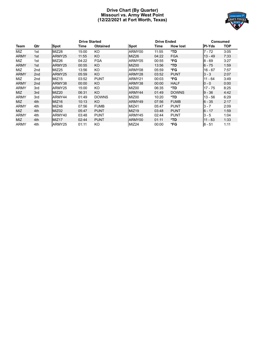#### **Drive Chart (By Quarter) Missouri vs. Army West Point (12/22/2021 at Fort Worth, Texas)**



|             |                 |                   | <b>Drive Started</b> |                 |                   | <b>Drive Ended</b> |                 |               | Consumed   |
|-------------|-----------------|-------------------|----------------------|-----------------|-------------------|--------------------|-----------------|---------------|------------|
| Team        | Qtr             | <b>Spot</b>       | Time                 | <b>Obtained</b> | <b>Spot</b>       | Time               | <b>How lost</b> | <b>PI-Yds</b> | <b>TOP</b> |
| <b>MIZ</b>  | 1st             | MIZ <sub>28</sub> | 15:00                | KO              | ARMY00            | 11:55              | *TD             | $7 - 72$      | 3:05       |
| <b>ARMY</b> | 1st             | ARMY25            | 11:55                | KO.             | MIZ <sub>26</sub> | 04:22              | <b>FGA</b>      | $13 - 49$     | 7:33       |
| MIZ.        | 1st             | MIZ <sub>26</sub> | 04:22                | <b>FGA</b>      | ARMY05            | 00:55              | *FG             | $8 - 69$      | 3:27       |
| <b>ARMY</b> | 1st             | ARMY25            | 00:55                | KO.             | MIZ00             | 13:56              | $*TD$           | $6 - 75$      | 1:59       |
| <b>MIZ</b>  | 2nd             | MIZ <sub>25</sub> | 13:56                | KO              | ARMY08            | 05:59              | *FG             | 16 - 67       | 7:57       |
| <b>ARMY</b> | 2 <sub>nd</sub> | ARMY25            | 05:59                | KO.             | ARMY28            | 03:52              | <b>PUNT</b>     | $3 - 3$       | 2:07       |
| <b>MIZ</b>  | 2nd             | MIZ <sub>15</sub> | 03:52                | <b>PUNT</b>     | ARMY21            | 00:03              | *FG             | $11 - 64$     | 3:49       |
| <b>ARMY</b> | 2 <sub>nd</sub> | ARMY38            | 00:00                | KO.             | ARMY38            | 00:00              | <b>HALF</b>     | $0 - 0$       | 0:00       |
| <b>ARMY</b> | 3rd             | ARMY25            | 15:00                | KO.             | MIZ00             | 06:35              | *TD             | $17 - 75$     | 8:25       |
| <b>MIZ</b>  | 3rd             | MIZ <sub>20</sub> | 06:31                | KO.             | ARMY44            | 01:49              | <b>DOWNS</b>    | $9 - 36$      | 4:42       |
| <b>ARMY</b> | 3rd             | ARMY44            | 01:49                | <b>DOWNS</b>    | MIZ00             | 10:20              | *TD             | 13 - 56       | 6:29       |
| <b>MIZ</b>  | 4th             | MIZ <sub>16</sub> | 10:13                | KO.             | ARMY49            | 07:56              | <b>FUMB</b>     | $6 - 35$      | 2:17       |
| <b>ARMY</b> | 4th             | MIZ48             | 07:56                | <b>FUMB</b>     | MIZ41             | 05:47              | <b>PUNT</b>     | $3 - 7$       | 2:09       |
| <b>MIZ</b>  | 4th             | MIZ02             | 05:47                | <b>PUNT</b>     | MIZ <sub>19</sub> | 03:48              | <b>PUNT</b>     | $6 - 17$      | 1:59       |
| <b>ARMY</b> | 4th             | ARMY40            | 03:48                | <b>PUNT</b>     | ARMY45            | 02:44              | <b>PUNT</b>     | $3 - 5$       | 1:04       |
| <b>MIZ</b>  | 4th             | MIZ <sub>17</sub> | 02:44                | <b>PUNT</b>     | ARMY00            | 01:11              | $*TD$           | $11 - 83$     | 1:33       |
| <b>ARMY</b> | 4th             | ARMY25            | 01:11                | KO.             | MIZ24             | 00:00              | *FG             | $8 - 51$      | 1:11       |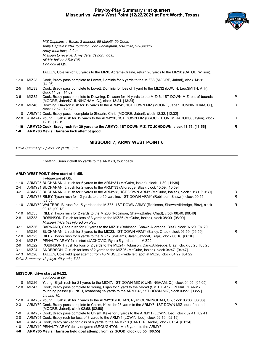#### **Play-by-Play Summary (1st quarter) Missouri vs. Army West Point (12/22/2021 at Fort Worth, Texas)**



P

*MIZ Captains: 1-Badie, 3-Manuel, 55-Maietti, 59-Cook. Army Captains: 20-Broughton, 22-Cunningham, 53-Smith, 95-Cockrill Army wins toss, defers. Missouri to receive. Army defends north goal. ARMY ball on ARMY35. 12-Cook at QB.*

TALLEY, Cole kickoff 65 yards to the MIZ0, Abrams-Draine, return 28 yards to the MIZ28 (CATOE, Wilson).

| 1-10 |       | ARMY30 Cook, Brady rush for 30 yards to the ARMY0, 1ST DOWN MIZ, TOUCHDOWN, clock 11:55. [11:55]                                                             | R |
|------|-------|--------------------------------------------------------------------------------------------------------------------------------------------------------------|---|
| 2-10 |       | ARMY42 Young, Elijah rush for 12 yards to the ARMY30, 1ST DOWN MIZ (BROUGHTON, M.;JACOBS, Jaylen), clock<br>12:19. [12:19]                                   | R |
| 1-10 |       | ARMY42 Cook, Brady pass incomplete to Shearin, Chris (MOORE, Jabari), clock 12:32. [12:32]                                                                   |   |
| 1-10 | MIZ46 | Downing, Dawson rush for 12 yards to the ARMY42, 1ST DOWN MIZ (MOORE, Jabari; CUNNINGHAM, C.),<br>clock 12:52. [12:52]                                       | R |
| 3-6  | MIZ32 | Cook, Brady pass complete to Downing, Dawson for 14 yards to the MIZ46, 1ST DOWN MIZ, out-of-bounds<br>(MOORE, Jabari; CUNNINGHAM, C.), clock 13:24. [13:24] | P |
| 2-5  | MIZ33 | Cook, Brady pass complete to Lovett, Dominic for loss of 1 yard to the MIZ32 (LOWIN, Leo; SMITH, Arik),<br>clock 14:02. [14:02]                              |   |
| 1-10 | MIZ28 | Cook, Brady pass complete to Lovett, Dominic for 5 yards to the MIZ33 (MOORE, Jabari), clock 14:26.<br>[14:26]                                               |   |
|      |       |                                                                                                                                                              |   |

**1-0 ARMY03 Mevis, Harrison kick attempt good.**

#### **MISSOURI 7, ARMY WEST POINT 0**

*Drive Summary: 7 plays, 72 yards, 3:05*

Koetting, Sean kickoff 65 yards to the ARMY0, touchback.

#### **ARMY WEST POINT drive start at 11:55.**

|          |                   | 4-Anderson at QB.                                                                                                                                                                                            |   |
|----------|-------------------|--------------------------------------------------------------------------------------------------------------------------------------------------------------------------------------------------------------|---|
| $1 - 10$ |                   | ARMY25 BUCHANAN, J. rush for 6 yards to the ARMY31 (McGuire, Isaiah), clock 11:39. [11:39]                                                                                                                   |   |
| $2 - 4$  |                   | ARMY31 BUCHANAN, J. rush for 2 yards to the ARMY33 (Alldredge, Blaz), clock 10:59. [10:59]                                                                                                                   |   |
| $3-2$    |                   | ARMY33 BUCHANAN, J. rush for 5 yards to the ARMY38, 1ST DOWN ARMY (McGuire, Isaiah), clock 10:30. [10:30]                                                                                                    | R |
| $1 - 10$ |                   | ARMY38 RILEY, Tyson rush for 12 yards to the 50 yardline, 1ST DOWN ARMY (Robinson, Shawn), clock 09:55.<br>[09:55]                                                                                           | R |
|          |                   | 1-10 ARMY50 WALTERS, B. rush for 15 yards to the MIZ35, 1ST DOWN ARMY (Robinson, Shawn;Alldredge, Blaz), clock<br>09:13. [09:13]                                                                             | R |
| $1 - 10$ | MIZ35             | RILEY, Tyson rush for 2 yards to the MIZ33 (Robinson, Shawn;Bailey, Chad), clock 08:40. [08:40]                                                                                                              |   |
| $2 - 8$  | MIZ33             | ROBINSON, T. rush for loss of 3 yards to the MIZ36 (McGuire, Isaiah), clock 08:00. [08:00]<br>Missouri 1-Carlies injured on play.                                                                            |   |
| $3 - 11$ | MIZ36             | BARNARD, Cade rush for 10 yards to the MIZ26 (Robinson, Shawn;Alldredge, Blaz), clock 07:29. [07:29]                                                                                                         |   |
| $4 - 1$  | MIZ26             | BUCHANAN, J. rush for 3 yards to the MIZ23, 1ST DOWN ARMY (Bailey, Chad), clock 06:59. [06:59]                                                                                                               | R |
| $1 - 10$ | MIZ <sub>23</sub> | RILEY, Tyson rush for 6 yards to the MIZ17 (Williams, Jalan; Jeffcoat, Traja), clock 06:16. [06:16]                                                                                                          |   |
| $2 - 4$  | MIZ <sub>17</sub> | PENALTY ARMY false start (JACKOVIC, Ryan) 5 yards to the MIZ22.                                                                                                                                              |   |
| $2-9$    | MIZ22             | ROBINSON, T. rush for loss of 2 yards to the MIZ24 (Robinson, Dariu; Alldredge, Blaz), clock 05:25. [05:25]                                                                                                  |   |
| $3 - 11$ | MIZ24             | ANDERSON, C. rush for loss of 2 yards to the MIZ26 (McGuire, Isaiah), clock 04:47 [04:47]                                                                                                                    |   |
| $4 - 13$ | MIZ26             | TALLEY, Cole field goal attempt from 43 MISSED - wide left, spot at MIZ26, clock 04:22. [04:22]                                                                                                              |   |
|          |                   | Drive Summary: 13 plays, 49 yards, 7:33                                                                                                                                                                      |   |
|          |                   | <b>MISSOURI drive start at 04:22.</b>                                                                                                                                                                        |   |
|          |                   | 12-Cook at QB.                                                                                                                                                                                               |   |
| $1 - 10$ | MIZ26             | Young, Elijah rush for 21 yards to the MIZ47, 1ST DOWN MIZ (CUNNINGHAM, C.), clock 04:05. [04:05]                                                                                                            | R |
| $1 - 10$ | MIZ47             | Cook, Brady pass complete to Young, Elijah for 1 yard to the MIZ48 (SMITH, Arik), PENALTY ARMY<br>roughing passer (BONSU, Kwabena) 15 yards to the ARMY37, 1ST DOWN MIZ, clock 03:27. [03:27]<br>1st and 10. | E |

1-10 ARMY37 Young, Elijah rush for 7 yards to the ARMY30 (DURAN, Ryan;CUNNINGHAM, C.), clock 03:08. [03:08]

- 2-3 ARMY30 Cook, Brady pass complete to Chism, Keke for 23 yards to the ARMY7, 1ST DOWN MIZ, out-of-bounds
	- (MOORE, Jabari), clock 02:58. [02:58]
- 1-0 ARMY07 Cook, Brady pass complete to Chism, Keke for 6 yards to the ARMY1 (LOWIN, Leo), clock 02:41. [02:41]
- 2-0 ARMY01 Cook, Brady rush for loss of 3 yards to the ARMY4 (LOWIN, Leo), clock 02:19. [02:19]
- 3-0 ARMY04 Cook, Brady sacked for loss of 6 yards to the ARMY10 (CARTER, Andre), clock 01:34. [01:34]
- 4-0 ARMY10 PENALTY ARMY delay of game (BROUGHTON, M.) 5 yards to the ARMY5.

**4-0 ARMY05 Mevis, Harrison field goal attempt from 22 GOOD, clock 00:55. [00:55]**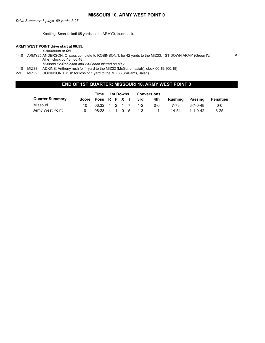Koetting, Sean kickoff 65 yards to the ARMY0, touchback.

#### **ARMY WEST POINT drive start at 00:55.**

*4-Anderson at QB.*

1-10 ARMY25 ANDERSON, C. pass complete to ROBINSON,T. for 42 yards to the MIZ33, 1ST DOWN ARMY (Green IV, Allie), clock 00:48. [00:48]

P

- *Missouri 12-Robinson and 24-Green injured on play.*
- 1-10 MIZ33 ADKINS, Anthony rush for 1 yard to the MIZ32 (McGuire, Isaiah), clock 00:19. [00:19]
- 2-9 MIZ32 ROBINSON,T. rush for loss of 1 yard to the MIZ33 (Williams, Jalan).

#### **END OF 1ST QUARTER: MISSOURI 10, ARMY WEST POINT 0**

|                        |                    | Time                                              |  | 1st Downs |                   | Conversions |         |                  |                  |
|------------------------|--------------------|---------------------------------------------------|--|-----------|-------------------|-------------|---------|------------------|------------------|
| <b>Quarter Summary</b> | Score Poss R P X T |                                                   |  |           | 3rd               | 4th         | Rushina | Passing          | <b>Penalties</b> |
| Missouri               |                    | $06:32 \quad 4 \quad 2 \quad 1 \quad 7 \quad 1-2$ |  |           |                   | <u>ດ-ດ</u>  | 7-73    | ٬ 6-7-0-48       | 0-0              |
| Army West Point        |                    |                                                   |  |           | 08:28 4 1 0 5 1-3 | 1-1         | 14-54   | $1 - 1 - 0 - 42$ | $3 - 25$         |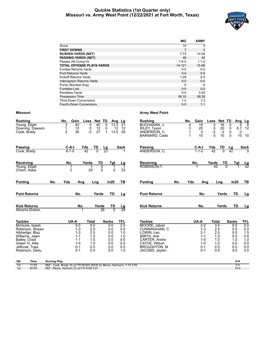#### **Quickie Statistics (1st Quarter only) Missouri vs. Army West Point (12/22/2021 at Fort Worth, Texas)**



|                                  | <b>MIZ</b>  | <b>ARMY</b> |
|----------------------------------|-------------|-------------|
| Score                            | 10          | 0           |
| <b>FIRST DOWNS</b>               | 7           | 5           |
| <b>RUSHES-YARDS (NET)</b>        | 7-73        | 14-54       |
| <b>PASSING-YARDS (NET)</b>       | 48          | 42          |
| Passes Att-Comp-Int              | $7 - 6 - 0$ | $1 - 1 - 0$ |
| <b>TOTAL OFFENSE PLAYS-YARDS</b> | 14-121      | 15-96       |
| <b>Fumble Returns-Yards</b>      | $0 - 0$     | $0-0$       |
| <b>Punt Returns-Yards</b>        | $0 - 0$     | $0-0$       |
| Kickoff Returns-Yards            | 1-28        | $0 - 0$     |
| Interception Returns-Yards       | $0 - 0$     | $0-0$       |
| Punts (Number-Avg)               | -0          | -0          |
| Fumbles-Lost                     | $0 - 0$     | $0 - 0$     |
| Penalties-Yards                  | $0 - 0$     | $3 - 25$    |
| Possession Time                  | 06:32       | 08:28       |
| <b>Third-Down Conversions</b>    | $1 - 2$     | $1 - 3$     |
| <b>Fourth-Down Conversions</b>   | $0 - 0$     | $1 - 1$     |

| <b>Rushing</b><br>Young, Elijah<br>Downing, Dawson<br>Cook, Brady                                                                                                   | Gain<br>Loss Net TD<br>No.<br>Avg Lg<br>3<br>$\overline{0}$<br>40<br>40<br>$\Omega$<br>13.3<br>21<br>0<br>12<br>0<br>12<br>12<br>$\mathbf 1$<br>12<br>27<br>$\overline{2}$<br>$-3$<br>1<br>13.5<br>30<br>30                                                                                                     | <b>Rushing</b><br>BUCHANAN. J.<br>RILEY, Tyson<br>ANDERSON, C.<br>BARNARD, Cade                                                                     | No.<br>Gain<br>$\overline{16}$<br>4<br>3<br>20<br>$\mathbf 0$<br>10<br>1                     | Loss Net TD<br>$\overline{0}$<br>16<br>$\begin{array}{c} 0 \\ -2 \\ 0 \end{array}$<br>$20 - 2$<br>10 | 0<br>4<br>0<br>0<br>$-2$<br>$\mathbf{0}$                             | <u>Avg Lg</u><br>$\overline{6}$<br>6.7 12<br>10 10          |
|---------------------------------------------------------------------------------------------------------------------------------------------------------------------|-----------------------------------------------------------------------------------------------------------------------------------------------------------------------------------------------------------------------------------------------------------------------------------------------------------------|-----------------------------------------------------------------------------------------------------------------------------------------------------|----------------------------------------------------------------------------------------------|------------------------------------------------------------------------------------------------------|----------------------------------------------------------------------|-------------------------------------------------------------|
| Passing<br>Cook, Brady                                                                                                                                              | $C-A-I$<br>Yds<br>$rac{TD}{0}$<br><b>Sack</b><br>$\frac{\text{Lg}}{23}$<br>42<br>$6 - 7 - 0$                                                                                                                                                                                                                    | Passing<br>ANDERSON, C.                                                                                                                             | C-A-I<br>$1 - 1 - 0$                                                                         | Yds<br>TD<br>42<br>$\overline{0}$                                                                    | <u>Lg</u><br>42                                                      | Sack                                                        |
| Receiving<br>Young, Elijah<br>Chism, Keke                                                                                                                           | No.<br>TD<br>Yards<br>Tgt<br>Lg<br>$\overline{0}$<br>1<br>1<br>$\overline{1}$<br>1<br>$\overline{2}$<br>29<br>$\overline{2}$<br>23<br>$\Omega$                                                                                                                                                                  | Receiving<br>ROBINSON.T.                                                                                                                            | No.                                                                                          | Yards<br>TD<br>42                                                                                    | <u>Tgt</u><br>$\overline{0}$                                         | $\frac{\text{Lg}}{42}$                                      |
| <b>Punting</b>                                                                                                                                                      | Yds<br>In20<br><b>TB</b><br>No.<br>Avg<br>Lng                                                                                                                                                                                                                                                                   | No.<br><b>Punting</b>                                                                                                                               | Yds<br>Ava                                                                                   | Lng                                                                                                  | In20                                                                 | TB                                                          |
| <b>Punt Returns</b>                                                                                                                                                 | No.<br><b>TD</b><br>Yards<br>Lg                                                                                                                                                                                                                                                                                 | <b>Punt Returns</b>                                                                                                                                 | No.                                                                                          | Yards                                                                                                | <b>TD</b>                                                            | Lg                                                          |
| <b>Kick Returns</b><br>Abrams-Draine,                                                                                                                               | No.<br>Yards<br>TD<br><u>Lg</u><br>28<br>28<br>$\Omega$                                                                                                                                                                                                                                                         | <b>Kick Returns</b>                                                                                                                                 | No.                                                                                          | Yards                                                                                                | <b>TD</b>                                                            | Lg                                                          |
| <b>Tackles</b><br>McGuire, Isaiah<br>Robinson, Shawn<br>Alldredge, Blaz<br>Williams, Jalan<br>Bailey, Chad<br>Green IV. Allie<br>Jeffcoat, Traja<br>Robinson, Dariu | TFL<br>UA-A<br>Total<br><b>Sacks</b><br>5.0<br>$\overline{2.0}$<br>$5-0$<br>0.0<br>$1 - 3$<br>2.5<br>0.0<br>0.0<br>2.5<br>$1 - 3$<br>0.0<br>1.0<br>$1 - 1$<br>1.5<br>0.0<br>1.0<br>1.5<br>$1 - 1$<br>0.0<br>0.0<br>$1 - 0$<br>1.0<br>0.0<br>0.0<br>0.5<br>0.0<br>$0 - 1$<br>0.0<br>$0 - 1$<br>0.5<br>1.0<br>0.0 | <b>Tackles</b><br>MOORE. Jabari<br>CUNNINGHAM, C.<br>LOWIN, Leo<br>SMITH, Arik<br>CARTER, Andre<br>CATOE. Wilson<br>BROUGHTON, M.<br>JACOBS, Jaylen | UA-A<br>$2 - 2$<br>$1 - 3$<br>$2 - 1$<br>$1 - 1$<br>$1 - 0$<br>$1 - 0$<br>$0 - 1$<br>$0 - 1$ | Total<br>$\overline{3.0}$<br>2.5<br>2.5<br>1.5<br>1.0<br>1.0<br>0.5<br>0.5                           | <b>Sacks</b><br>0.0<br>0.0<br>0.0<br>0.0<br>1.0<br>0.0<br>0.0<br>0.0 | TFL<br>0.0<br>0.0<br>1.5<br>0.5<br>1.0<br>0.0<br>0.0<br>0.0 |
| Qtr<br><b>Time</b><br>1st<br>11:55<br>00:55<br>1st                                                                                                                  | <b>Scoring Play</b><br>MIZ - Cook, Brady 30 yd TD RUSH (KICK by Mevis, Harrison), 7-72 3:05<br>MIZ - Mevis, Harrison 22 yd FG 8-69 3:27                                                                                                                                                                         |                                                                                                                                                     |                                                                                              |                                                                                                      | V-H<br>$7-0$<br>$10 - 0$                                             |                                                             |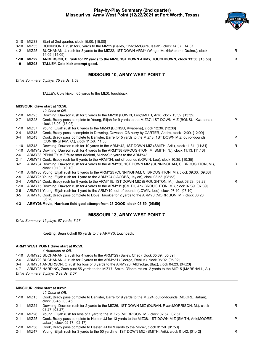#### **Play-by-Play Summary (2nd quarter) Missouri vs. Army West Point (12/22/2021 at Fort Worth, Texas)**



| MIZ33 | Start of 2nd quarter, clock 15:00. [15:00]                                                                         |   |
|-------|--------------------------------------------------------------------------------------------------------------------|---|
| MIZ33 | ROBINSON, T. rush for 8 yards to the MIZ25 (Bailey, Chad; McGuire, Isaiah), clock 14:37 [14:37]                    |   |
| MIZ25 | BUCHANAN, J. rush for 3 yards to the MIZ22, 1ST DOWN ARMY (Wingo, Mekhi; Abrams-Draine, ), clock<br>14:09. [14:09] | R |
| MIZ22 | ANDERSON, C. rush for 22 yards to the MIZ0, 1ST DOWN ARMY, TOUCHDOWN, clock 13:56. [13:56]                         | R |
| MIZ03 | <b>TALLEY.</b> Cole kick attempt good.                                                                             |   |
|       |                                                                                                                    |   |

#### **MISSOURI 10, ARMY WEST POINT 7**

*Drive Summary: 6 plays, 75 yards, 1:59*

TALLEY, Cole kickoff 65 yards to the MIZ0, touchback.

#### **MISSOURI drive start at 13:56.**

*12-Cook at QB.*

| $1 - 10$ | MIZ <sub>25</sub> | Downing, Dawson rush for 3 yards to the MIZ28 (LOWIN, Leo; SMITH, Arik), clock 13:32. [13:32]                                                |   |
|----------|-------------------|----------------------------------------------------------------------------------------------------------------------------------------------|---|
| $2 - 7$  | MIZ <sub>28</sub> | Cook, Brady pass complete to Young, Elijah for 9 yards to the MIZ37, 1ST DOWN MIZ (BONSU, Kwabena),<br>clock 13:05. [13:05]                  | P |
| $1 - 10$ | MIZ37             | Young, Elijah rush for 6 yards to the MIZ43 (BONSU, Kwabena), clock 12:36. [12:36]                                                           |   |
| $2 - 4$  | MIZ43             | Cook, Brady pass incomplete to Downing, Dawson, QB hurry by CARTER, Andre, clock 12:09. [12:09]                                              |   |
| $3 - 4$  | MIZ43             | Cook, Brady pass complete to Banister, Barre for 5 yards to the MIZ48, 1ST DOWN MIZ, out-of-bounds<br>(CUNNINGHAM, C.), clock 11:58. [11:58] | P |
| $1 - 10$ | MIZ48             | Downing, Dawson rush for 10 yards to the ARMY42, 1ST DOWN MIZ (SMITH, Arik), clock 11:31. [11:31]                                            | R |
| $1 - 10$ |                   | ARMY42 Downing, Dawson rush for 4 yards to the ARMY38 (BROUGHTON, M.; SMITH, N.), clock 11:13. [11:13]                                       |   |
| $2-6$    |                   | ARMY38 PENALTY MIZ false start (Maietti, Michae) 5 yards to the ARMY43.                                                                      |   |
| $2 - 11$ |                   | ARMY43 Cook, Brady rush for 9 yards to the ARMY34, out-of-bounds (LOWIN, Leo), clock 10:35. [10:35]                                          |   |
| $3-2$    |                   | ARMY34 Downing, Dawson rush for 4 yards to the ARMY30, 1ST DOWN MIZ (CUNNINGHAM, C.; BROUGHTON, M.),<br>clock 10:10. [10:10]                 | R |
| $1 - 10$ |                   | ARMY30 Young, Elijah rush for 5 yards to the ARMY25 (CUNNINGHAM, C.;BROUGHTON, M.), clock 09:33. [09:33]                                     |   |
| $2 - 5$  |                   | ARMY25 Young, Elijah rush for 1 yard to the ARMY24 (JACOBS, Jaylen), clock 08:53. [08:53]                                                    |   |
| $3 - 4$  |                   | ARMY24 Cook, Brady rush for 9 yards to the ARMY15, 1ST DOWN MIZ (BROUGHTON, M.), clock 08:23. [08:23]                                        | R |
| $1 - 10$ |                   | ARMY15 Downing, Dawson rush for 4 yards to the ARMY11 (SMITH, Arik; BROUGHTON, M.), clock 07:39. [07:39]                                     |   |
| $2-6$    |                   | ARMY11 Young, Elijah rush for 1 yard to the ARMY10, out-of-bounds (LOWIN, Leo), clock 07:10. [07:10]                                         |   |
| $3 - 5$  |                   | ARMY10 Cook, Brady pass complete to Dove, Tauskie for 2 yards to the ARMY8 (MORRISON, M.), clock 06:20.<br>[06:20]                           |   |
| $4 - 3$  |                   | ARMY08 Mevis, Harrison field goal attempt from 25 GOOD, clock 05:59. [05:59]                                                                 |   |
|          |                   |                                                                                                                                              |   |

#### **MISSOURI 13, ARMY WEST POINT 7**

*Drive Summary: 16 plays, 67 yards, 7:57*

Koetting, Sean kickoff 65 yards to the ARMY0, touchback.

#### **ARMY WEST POINT drive start at 05:59.**

*4-Anderson at QB.*

1-10 ARMY25 BUCHANAN, J. rush for 4 yards to the ARMY29 (Bailey, Chad), clock 05:39. [05:39]

2-6 ARMY29 BUCHANAN, J. rush for 2 yards to the ARMY31 (George, Realus), clock 05:02. [05:02]

3-4 ARMY31 ANDERSON, C. rush for loss of 3 yards to the ARMY28 (Alldredge, Blaz), clock 04:23. [04:23]

4-7 ARMY28 HARDING, Zach punt 55 yards to the MIZ17, Smith, D'ionte return -2 yards to the MIZ15 (MARSHALL, A.).

*Drive Summary: 3 plays, 3 yards, 2:07*

#### **MISSOURI drive start at 03:52.**

|          |       | 12-Cook at QB.                                                                                                                        |   |
|----------|-------|---------------------------------------------------------------------------------------------------------------------------------------|---|
| 1-10     | MIZ15 | Cook, Brady pass complete to Banister, Barre for 9 yards to the MIZ24, out-of-bounds (MOORE, Jabari),<br>clock 03:45. [03:45]         |   |
| $2 - 1$  | MIZ24 | Downing, Dawson rush for 2 yards to the MIZ26, 1ST DOWN MIZ (DURAN, Ryan; MORRISON, M.), clock<br>$03:27.$ $[03:27]$                  | R |
| $1 - 10$ | MIZ26 | Young, Elijah rush for loss of 1 yard to the MIZ25 (MORRISON, M.), clock 02:57, [02:57]                                               |   |
| $2 - 11$ | MIZ25 | Cook, Brady pass complete to Hester, JJ for 13 yards to the MIZ38, 1ST DOWN MIZ (SMITH, Arik: MOORE,<br>Jabari), clock 02:17. [02:17] | P |
| $1 - 10$ | MIZ38 | Cook, Brady pass complete to Hester, JJ for 9 yards to the MIZ47, clock 01:50. [01:50]                                                |   |
| $2 - 1$  | MIZ47 | Young, Elijah rush for 3 yards to the 50 yardline, 1ST DOWN MIZ (SMITH, Arik), clock 01:42, [01:42]                                   | R |
|          |       |                                                                                                                                       |   |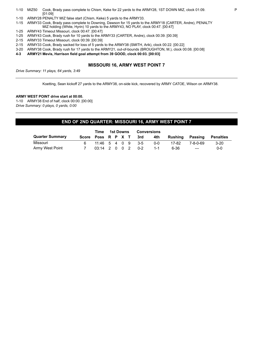- 1-10 MIZ50 Cook, Brady pass complete to Chism, Keke for 22 yards to the ARMY28, 1ST DOWN MIZ, clock 01:09. [01:09]
- 1-10 ARMY28 PENALTY MIZ false start (Chism, Keke) 5 yards to the ARMY33.
- 1-15 ARMY33 Cook, Brady pass complete to Downing, Dawson for 15 yards to the ARMY18 (CARTER, Andre), PENALTY MIZ holding (White, Hyrin) 10 yards to the ARMY43, NO PLAY, clock 00:47. [00:47]
- 1-25 ARMY43 Timeout Missouri, clock 00:47. [00:47]
- 1-25 ARMY43 Cook, Brady rush for 10 yards to the ARMY33 (CARTER, Andre), clock 00:39. [00:39]
- 2-15 ARMY33 Timeout Missouri, clock 00:39. [00:39]
- 2-15 ARMY33 Cook, Brady sacked for loss of 5 yards to the ARMY38 (SMITH, Arik), clock 00:22. [00:22]
- 3-20 ARMY38 Cook, Brady rush for 17 yards to the ARMY21, out-of-bounds (BROUGHTON, M.), clock 00:08. [00:08]
- **4-3 ARMY21 Mevis, Harrison field goal attempt from 39 GOOD, clock 00:03. [00:03]**

#### **MISSOURI 16, ARMY WEST POINT 7**

*Drive Summary: 11 plays, 64 yards, 3:49*

Koetting, Sean kickoff 27 yards to the ARMY38, on-side kick, recovered by ARMY CATOE, Wilson on ARMY38.

#### **ARMY WEST POINT drive start at 00:00.**

1-10 ARMY38 End of half, clock 00:00. [00:00] *Drive Summary: 0 plays, 0 yards, 0:00*

#### **END OF 2ND QUARTER: MISSOURI 16, ARMY WEST POINT 7**

|                        |                        |                     | Time 1st Downs<br>Conversions |  |  |         |         |          |           |
|------------------------|------------------------|---------------------|-------------------------------|--|--|---------|---------|----------|-----------|
| <b>Quarter Summary</b> | Score Poss R P X T 3rd |                     |                               |  |  | 4th     | Rushina | Passing  | Penalties |
| Missouri               |                        | $11:46$ 5 4 0 9 3-5 |                               |  |  | ი-ი     | 17-82   | 7-8-0-69 | $3-20$    |
| Army West Point        |                        | $03:14$ 2 0 0 2 0-2 |                               |  |  | $1 - 1$ | 6-36    | $---$    | ი-ი       |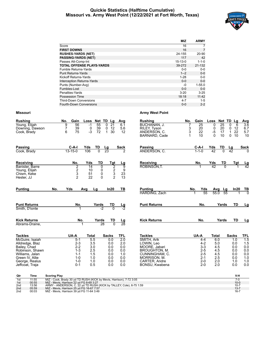#### **Quickie Statistics (Halftime Cumulative) Missouri vs. Army West Point (12/22/2021 at Fort Worth, Texas)**



|                                   | <b>MIZ</b>    | <b>ARMY</b>    |
|-----------------------------------|---------------|----------------|
| Score                             | 16            | 7              |
| <b>FIRST DOWNS</b>                | 16            | $\overline{7}$ |
| <b>RUSHES-YARDS (NET)</b>         | 24-155        | 20-90          |
| <b>PASSING-YARDS (NET)</b>        | 117           | 42             |
| Passes Att-Comp-Int               | $15 - 13 - 0$ | $1 - 1 - 0$    |
| <b>TOTAL OFFENSE PLAYS-YARDS</b>  | 39-272        | 21-132         |
| <b>Fumble Returns-Yards</b>       | $0 - 0$       | $0-0$          |
| <b>Punt Returns-Yards</b>         | $1 - 2$       | $0-0$          |
| Kickoff Returns-Yards             | $1 - 28$      | $0 - 0$        |
| <b>Interception Returns-Yards</b> | $0 - 0$       | $0-0$          |
| Punts (Number-Avg)                | -0            | $1 - 55.0$     |
| Fumbles-Lost                      | $0 - 0$       | $0 - 0$        |
| Penalties-Yards                   | $3 - 20$      | $3 - 25$       |
| Possession Time                   | 18:18         | 11:42          |
| <b>Third-Down Conversions</b>     | $4 - 7$       | $1 - 5$        |
| <b>Fourth-Down Conversions</b>    | $0 - 0$       | $2 - 2$        |

| <b>Rushing</b><br>Young, Elijah<br>Downing, Dawson<br>Cook, Brady                                                                                                  | Gain<br>No.<br>Loss<br>9<br>56<br>$-1$<br>$\overline{7}$<br>39<br>0<br>75<br>$-3$<br>6                     | Net TD Lg<br>55<br>$\overline{21}$<br>$\mathbf 0$<br>39<br>12<br>0<br>$\overline{72}$<br>30<br>$\mathbf{1}$                  | Avg<br>6.1<br>5.6<br>12                                                         | <b>Rushing</b><br>BUCHANAN, J.<br>RILEY, Tyson<br>ANDERSON, C.<br>BARNARD, Cade                                                                           | Gain<br>No.<br>$\overline{25}$<br>3<br>20<br>22<br>3<br>10<br>1                              | Loss<br>$\mathbf 0$<br>$\overline{25}$<br>20<br>0<br>$-5$<br>17<br>$\Omega$ | Net TD<br>Lg<br>6<br>0<br>0<br>12<br>$\mathbf{1}$<br>22<br>10<br>$\Omega$<br>10 | <b>Avg</b><br>36<br>6.7<br>5.7<br>10                               |
|--------------------------------------------------------------------------------------------------------------------------------------------------------------------|------------------------------------------------------------------------------------------------------------|------------------------------------------------------------------------------------------------------------------------------|---------------------------------------------------------------------------------|-----------------------------------------------------------------------------------------------------------------------------------------------------------|----------------------------------------------------------------------------------------------|-----------------------------------------------------------------------------|---------------------------------------------------------------------------------|--------------------------------------------------------------------|
| Passing<br>Cook, Brady                                                                                                                                             | $C-A-I$<br>Yds<br>106<br>$13 - 15 - 0$                                                                     | TD<br>$\frac{\text{Lg}}{23}$<br>$\overline{0}$                                                                               | Sack                                                                            | Passing<br>ANDERSON, C.                                                                                                                                   | $C-A-I$<br>$1 - 1 - 0$                                                                       | Yds<br>TD<br>42                                                             | Lg<br>$\overline{0}$<br>$\overline{42}$                                         | <b>Sack</b>                                                        |
| Receiving<br>Banister, Barre<br>Young, Elijah<br>Chism, Keke<br>Hester, JJ                                                                                         | No.<br>Yds<br>2<br>$\overline{14}$<br>$\overline{c}$<br>10<br>3<br>51<br>$\overline{2}$<br>22              | TD<br>Tgt<br>$\frac{2}{3}$<br>$\overline{0}$<br>0<br>$\mathbf 0$<br>$\overline{2}$<br>$\Omega$                               | $\frac{Lg}{9}$<br>$\frac{9}{23}$<br>13                                          | Receiving<br>ROBINSON, T.                                                                                                                                 | No.                                                                                          | Yds<br>42                                                                   | TD<br><b>Tgt</b><br>$\overline{0}$                                              | $\frac{\text{Lg}}{42}$                                             |
| No.<br><b>Punting</b>                                                                                                                                              | Yds<br>Avg                                                                                                 | In20<br>Lg                                                                                                                   | TВ                                                                              | <b>Punting</b><br>HARDING, Zach                                                                                                                           | Yds<br>No.<br>55<br>1                                                                        | Avg<br>55.0                                                                 | In20<br>Lg<br>55                                                                | TВ<br>$\overline{0}$                                               |
| <b>Punt Returns</b><br>Smith, D'ionte                                                                                                                              | No.                                                                                                        | TD<br>Yards<br>$-2$<br>$\overline{0}$                                                                                        | <u>Lg</u><br>-2                                                                 | <b>Punt Returns</b>                                                                                                                                       | No.                                                                                          |                                                                             | TD<br>Yards                                                                     | Lg                                                                 |
| <b>Kick Returns</b><br>Abrams-Draine,                                                                                                                              | No.<br>$\blacktriangleleft$                                                                                | Yards<br>TD<br>28<br>$\Omega$                                                                                                | $\frac{\text{Lg}}{28}$                                                          | <b>Kick Returns</b>                                                                                                                                       | No.                                                                                          | Yards                                                                       | <b>TD</b>                                                                       | Lg                                                                 |
| <b>Tackles</b><br>McGuire, Isaiah<br>Alldredge, Blaz<br>Bailey, Chad<br>Robinson, Shawn<br>Williams, Jalan<br>Green IV. Allie<br>George, Realus<br>Jeffcoat, Traja | UA-A<br><b>Total</b><br>$5-1$<br>$2 - 3$<br>$2 - 2$<br>$1 - 3$<br>$1 - 1$<br>$1 - 0$<br>$1 - 0$<br>$0 - 1$ | <b>Sacks</b><br>5.5<br>0.0<br>3.5<br>0.0<br>3.0<br>0.0<br>2.5<br>0.0<br>1.5<br>0.0<br>1.0<br>0.0<br>1.0<br>0.0<br>0.5<br>0.0 | <b>TFL</b><br>$\overline{2.0}$<br>2.0<br>0.0<br>0.0<br>1.0<br>0.0<br>0.0<br>0.0 | <b>Tackles</b><br>SMITH, Arik<br>LOWIN. Leo<br>MOORE, Jabari<br><b>BROUGHTON, M.</b><br>CUNNINGHAM, C.<br>MORRISON, M.<br>CARTER, Andre<br>BONSU, Kwabena | UA-A<br>$4 - 4$<br>$4 - 2$<br>$3 - 3$<br>$2 - 5$<br>$2 - 5$<br>$2 - 1$<br>$2 - 0$<br>$2 - 0$ | <b>Total</b><br>6.0<br>5.0<br>4.5<br>4.5<br>4.5<br>2.5<br>2.0<br>2.0        | <b>Sacks</b><br>1.0<br>0.0<br>0.0<br>0.0<br>0.0<br>0.0<br>1.0<br>0.0            | <b>TFL</b><br>1.5<br>1.5<br>0.0<br>0.0<br>0.0<br>1.0<br>1.0<br>0.0 |

| Qtr             | Time  | <b>Scoring Play</b>                                                  | V-F      |
|-----------------|-------|----------------------------------------------------------------------|----------|
| 1st             | 11:55 | MIZ - Cook, Brady 30 yd TD RUSH (KICK by Mevis, Harrison), 7-72 3:05 |          |
| 1st             | 00:55 | MIZ - Mevis, Harrison 22 vd FG 8-69 3:27                             | $10 - 0$ |
| 2 <sub>nd</sub> | 13:56 | ARMY - ANDERSON, C. 22 yd TD RUSH (KICK by TALLEY, Cole), 6-75 1:59  | $10-7$   |
| 2nd             | 05:59 | MIZ - Mevis, Harrison 25 yd FG 16-67 7:57                            | $13 - 7$ |
| 2 <sub>nd</sub> | 00:03 | MIZ - Mevis, Harrison 39 vd FG 11-64 3:49                            | $16-$    |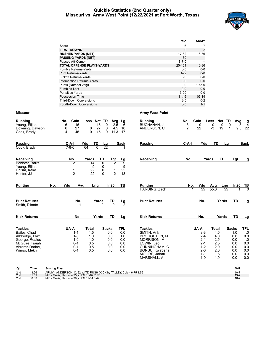#### **Quickie Statistics (2nd Quarter only) Missouri vs. Army West Point (12/22/2021 at Fort Worth, Texas)**



|                                   | <b>MIZ</b>  | <b>ARMY</b>    |
|-----------------------------------|-------------|----------------|
| Score                             | 6           |                |
| <b>FIRST DOWNS</b>                | 9           | $\overline{2}$ |
| <b>RUSHES-YARDS (NET)</b>         | 17-82       | $6 - 36$       |
| <b>PASSING-YARDS (NET)</b>        | 69          |                |
| Passes Att-Comp-Int               | $8 - 7 - 0$ |                |
| <b>TOTAL OFFENSE PLAYS-YARDS</b>  | 25-151      | $6 - 36$       |
| <b>Fumble Returns-Yards</b>       | $0 - 0$     | $0 - 0$        |
| <b>Punt Returns-Yards</b>         | $1 - 2$     | $0 - 0$        |
| Kickoff Returns-Yards             | $0 - 0$     | $0 - 0$        |
| <b>Interception Returns-Yards</b> | $0 - 0$     | $0-0$          |
| Punts (Number-Avg)                | -0          | $1 - 55.0$     |
| Fumbles-Lost                      | $0 - 0$     | $0-0$          |
| Penalties-Yards                   | $3 - 20$    | $0 - 0$        |
| Possession Time                   | 11:46       | 03:14          |
| <b>Third-Down Conversions</b>     | $3 - 5$     | $0 - 2$        |
| <b>Fourth-Down Conversions</b>    | $0 - 0$     | $1 - 1$        |

| <b>Rushing</b><br>Young, Elijah<br>Downing, Dawson<br>Cook, Brady                                                        | No.<br>6<br>6<br>4 | Gain<br>16<br>27<br>45                                                 | Loss<br>$-1$<br>0<br>0                                 | Net TD<br>15<br>27<br>45                                   | Avg<br>0<br>0<br>$\Omega$                              | Lg<br>2.5<br>6<br>4.5<br>10<br>11.3<br>17                                                       | <b>Rushing</b><br><b>BUCHANAN. J.</b><br>ANDERSON, C.                                                                                             | No.<br>3<br>$\overline{2}$ | Gain<br>9<br>22                                                                            | Loss<br>0<br>$-3$ | Net TD<br>9<br>19                                    | Avg<br>0<br>9.5<br>1                                                 | Lg<br>3<br>$\overline{4}$<br>-22                                   |
|--------------------------------------------------------------------------------------------------------------------------|--------------------|------------------------------------------------------------------------|--------------------------------------------------------|------------------------------------------------------------|--------------------------------------------------------|-------------------------------------------------------------------------------------------------|---------------------------------------------------------------------------------------------------------------------------------------------------|----------------------------|--------------------------------------------------------------------------------------------|-------------------|------------------------------------------------------|----------------------------------------------------------------------|--------------------------------------------------------------------|
| Passing<br>Cook, Brady                                                                                                   |                    | $C-A-I$<br>$7 - 8 - 0$                                                 | Yds<br>64                                              | <b>TD</b><br>$\overline{0}$                                | $\frac{\text{Lg}}{22}$                                 | Sack                                                                                            | Passing                                                                                                                                           | $C-A-I$                    | Yds                                                                                        | TD                | Lg                                                   |                                                                      | <b>Sack</b>                                                        |
| Receiving<br>Banister, Barre<br>Young, Elijah<br>Chism, Keke<br>Hester, JJ                                               |                    | No.<br>2<br>1<br>1<br>$\overline{2}$                                   | Yards<br>14<br>9<br>22<br>22                           | TD<br>$\overline{0}$<br>$\pmb{0}$<br>$\pmb{0}$<br>$\Omega$ | Tgt<br>1<br>1                                          | $\frac{Lg}{9}$<br>$\overline{2}$<br>$\boldsymbol{9}$<br>22<br>$\overline{13}$<br>$\overline{2}$ | Receiving                                                                                                                                         | No.                        |                                                                                            | Yards             | <b>TD</b>                                            | Tgt                                                                  | Lg                                                                 |
| <b>Punting</b>                                                                                                           | No.                | Yds                                                                    | Avg                                                    | Lng                                                        | In20                                                   | ΤВ                                                                                              | <b>Punting</b><br>HARDING, Zach                                                                                                                   | No.                        | Yds<br>$\overline{55}$                                                                     | Avg<br>55.0       | Lng<br>55                                            | In20                                                                 | TВ<br>ō                                                            |
| <b>Punt Returns</b><br>Smith. D'ionte                                                                                    |                    | No.                                                                    | 1                                                      | Yards<br>-2                                                | TD                                                     | $\frac{\text{Lg}}{\text{-2}}$                                                                   | <b>Punt Returns</b>                                                                                                                               |                            | No.                                                                                        |                   | Yards                                                | <b>TD</b>                                                            | <u>Lg</u>                                                          |
| <b>Kick Returns</b>                                                                                                      |                    | No.                                                                    |                                                        | Yards                                                      | TD                                                     | Lg                                                                                              | <b>Kick Returns</b>                                                                                                                               |                            | No.                                                                                        |                   | Yards                                                | <b>TD</b>                                                            | Lg                                                                 |
| <b>Tackles</b><br>Bailey, Chad<br>Alldredge, Blaz<br>George, Realus<br>McGuire, Isaiah<br>Abrams-Draine,<br>Wingo, Mekhi |                    | UA-A<br>$1 - 1$<br>$1 - 0$<br>$1 - 0$<br>$0 - 1$<br>$0 - 1$<br>$0 - 1$ | <b>Total</b><br>1.5<br>1.0<br>1.0<br>0.5<br>0.5<br>0.5 |                                                            | <b>Sacks</b><br>0.0<br>0.0<br>0.0<br>0.0<br>0.0<br>0.0 | <b>TFL</b><br>0.0<br>1.0<br>0.0<br>0.0<br>0.0<br>0.0                                            | <b>Tackles</b><br>SMITH, Arik<br>BROUGHTON, M.<br>MORRISON, M.<br>LOWIN, Leo<br>CUNNINGHAM, C.<br>BONSU, Kwabena<br>MOORE, Jabari<br>MARSHALL, A. |                            | UA-A<br>$3 - 3$<br>$2 - 4$<br>$2 - 1$<br>$2 - 1$<br>$1 - 2$<br>$2 - 0$<br>$1 - 1$<br>$1-0$ | Total             | 4.5<br>4.0<br>2.5<br>2.5<br>2.0<br>2.0<br>1.5<br>1.0 | <b>Sacks</b><br>1.0<br>0.0<br>0.0<br>0.0<br>0.0<br>0.0<br>0.0<br>0.0 | <b>TFL</b><br>1.0<br>0.0<br>1.0<br>0.0<br>0.0<br>0.0<br>0.0<br>0.0 |

| Qtr             | Time  | <b>Scoring Play</b>                                                 |          |
|-----------------|-------|---------------------------------------------------------------------|----------|
| 2nd             | 13:56 | ARMY - ANDERSON, C. 22 yd TD RUSH (KICK by TALLEY, Cole), 6-75 1:59 |          |
| 2nd             | 05:59 | MIZ - Mevis, Harrison 25 yd FG 16-67 7:57                           |          |
| 2 <sub>nd</sub> | 00:03 | MIZ - Mevis, Harrison 39 yd FG 11-64 3:49                           | $16 - 7$ |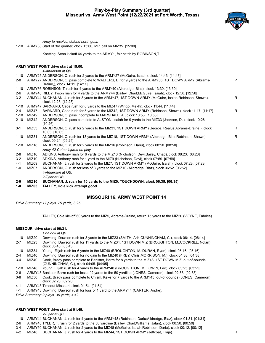

P

R

R

R

*Army to receive, defend north goal.* 1-10 ARMY38 Start of 3rd quarter, clock 15:00, MIZ ball on MIZ35. [15:00] Koetting, Sean kickoff 64 yards to the ARMY1, fair catch by ROBINSON,T.. **ARMY WEST POINT drive start at 15:00.** *4-Anderson at QB.* 1-10 ARMY25 ANDERSON, C. rush for 2 yards to the ARMY27 (McGuire, Isaiah), clock 14:43. [14:43] 2-8 ARMY27 ANDERSON, C. pass complete to WALTERS, B. for 9 yards to the ARMY36, 1ST DOWN ARMY (Abrams-Draine,), clock 14:11. [14:11] 1-10 ARMY36 ROBINSON,T. rush for 4 yards to the ARMY40 (Alldredge, Blaz), clock 13:30. [13:30] 2-6 ARMY40 RILEY, Tyson rush for 4 yards to the ARMY44 (Bailey, Chad;McGuire, Isaiah), clock 12:58. [12:58] 3-2 ARMY44 BUCHANAN, J. rush for 3 yards to the ARMY47, 1ST DOWN ARMY (McGuire, Isaiah;Robinson, Shawn), clock 12:28. [12:28] 1-10 ARMY47 BARNARD, Cade rush for 6 yards to the MIZ47 (Wingo, Mekhi), clock 11:44. [11:44] 2-4 MIZ47 BARNARD, Cade rush for 5 yards to the MIZ42, 1ST DOWN ARMY (Robinson, Shawn), clock 11:17. [11:17] R 1-10 MIZ42 ANDERSON, C. pass incomplete to MARSHALL, A., clock 10:53. [10:53] 2-10 MIZ42 ANDERSON, C. pass complete to ALSTON, Isaiah for 9 yards to the MIZ33 (Jackson, DJ), clock 10:26. [10:26] 3-1 MIZ33 ANDERSON, C. rush for 2 yards to the MIZ31, 1ST DOWN ARMY (George, Realus;Abrams-Draine,), clock 10:03. [10:03] 1-10 MIZ31 ANDERSON, C. rush for 13 yards to the MIZ18, 1ST DOWN ARMY (Alldredge, Blaz;Robinson, Shawn), clock 09:24. [09:24] 1-10 MIZ18 ANDERSON, C. rush for 2 yards to the MIZ16 (Robinson, Dariu), clock 08:50. [08:50] *Army 42-Catoe injured on play.* 2-8 MIZ16 ADKINS, Anthony rush for 6 yards to the MIZ10 (Nicholson, Devi;Bailey, Chad), clock 08:23. [08:23] 3-2 MIZ10 ADKINS, Anthony rush for 1 yard to the MIZ9 (Nicholson, Devi), clock 07:59. [07:59] 4-1 MIZ09 BUCHANAN, J. rush for 2 yards to the MIZ7, 1ST DOWN ARMY (McGuire, Isaiah), clock 07:23. [07:23] R 1-0 MIZ07 ANDERSON, C. rush for loss of 3 yards to the MIZ10 (Alldredge, Blaz), clock 06:52. [06:52] *4-Anderson at QB. 2-Tyler at QB.* **2-0 MIZ10 BUCHANAN, J. rush for 10 yards to the MIZ0, TOUCHDOWN, clock 06:35. [06:35]**

**1-0 MIZ03 TALLEY, Cole kick attempt good.**

#### **MISSOURI 16, ARMY WEST POINT 14**

*Drive Summary: 17 plays, 75 yards, 8:25*

TALLEY, Cole kickoff 60 yards to the MIZ5, Abrams-Draine, return 15 yards to the MIZ20 (VOYNE, Fabrice).

**MISSOURI drive start at 06:31.** *12-Cook at QB.* 1-10 MIZ20 Downing, Dawson rush for 3 yards to the MIZ23 (SMITH, Arik;CUNNINGHAM, C.), clock 06:14. [06:14] 2-7 MIZ23 Downing, Dawson rush for 11 yards to the MIZ34, 1ST DOWN MIZ (BROUGHTON, M.;COCKRILL, Nolan), clock 05:43. [05:43] 1-10 MIZ34 Young, Elijah rush for 6 yards to the MIZ40 (BROUGHTON, M.;DURAN, Ryan), clock 05:16. [05:16] 2-4 MIZ40 Downing, Dawson rush for no gain to the MIZ40 (FREY, Chris;MORRISON, M.), clock 04:38. [04:38] 3-4 MIZ40 Cook, Brady pass complete to Banister, Barre for 8 yards to the MIZ48, 1ST DOWN MIZ, out-of-bounds (CUNNINGHAM, C.), clock 04:05. [04:05] 1-10 MIZ48 Young, Elijah rush for 4 yards to the ARMY48 (BROUGHTON, M.;LOWIN, Leo), clock 03:25. [03:25] 2-6 ARMY48 Banister, Barre rush for loss of 2 yards to the 50 yardline (JONES, Cameron), clock 02:58. [02:58] 3-8 MIZ50 Cook, Brady pass complete to Chism, Keke for 7 yards to the ARMY43, out-of-bounds (JONES, Cameron), clock 02:20. [02:20] 4-1 ARMY43 Timeout Missouri, clock 01:54. [01:54]

4-1 ARMY43 Downing, Dawson rush for loss of 1 yard to the ARMY44 (CARTER, Andre).

*Drive Summary: 9 plays, 36 yards, 4:42*

#### **ARMY WEST POINT drive start at 01:49.**

*2-Tyler at QB.*

1-10 ARMY44 BUCHANAN, J. rush for 4 yards to the ARMY48 (Robinson, Dariu;Alldredge, Blaz), clock 01:31. [01:31]

2-6 ARMY48 TYLER, T. rush for 2 yards to the 50 yardline (Bailey, Chad;Williams, Jalan), clock 00:50. [00:50]

3-4 ARMY50 BUCHANAN, J. rush for 2 yards to the MIZ48 (McGuire, Isaiah;Robinson, Dariu), clock 00:12. [00:12]

4-2 MIZ48 BUCHANAN, J. rush for 4 yards to the MIZ44, 1ST DOWN ARMY (Jeffcoat, Traja).

R

P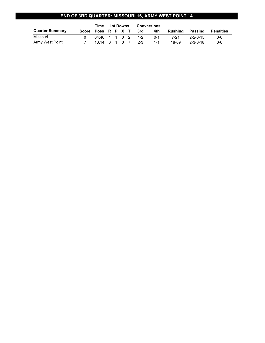### **END OF 3RD QUARTER: MISSOURI 16, ARMY WEST POINT 14**

|                        | Time                                    | 1st Downs |  | Conversions |                            |     |                 |          |           |
|------------------------|-----------------------------------------|-----------|--|-------------|----------------------------|-----|-----------------|----------|-----------|
| <b>Quarter Summary</b> |                                         |           |  |             | Score Poss R P X T 3rd 4th |     | Rushing Passing |          | Penalties |
| Missouri               | 04:46 1 1 0 2 1-2                       |           |  |             |                            | በ-1 | 7-21            | 2-2-0-15 | $0 - 0$   |
| Army West Point        | $10:14 \quad 6 \quad 1 \quad 0 \quad 7$ |           |  |             | $2 - 3$                    | 1-1 | 18-69           | 2-3-0-18 | $0 - 0$   |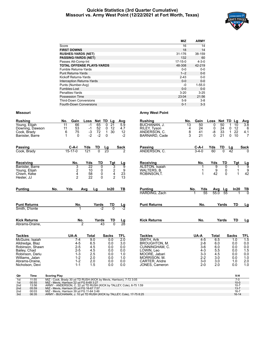#### **Quickie Statistics (3rd Quarter Cumulative) Missouri vs. Army West Point (12/22/2021 at Fort Worth, Texas)**



|                                   | <b>MIZ</b>    | <b>ARMY</b> |
|-----------------------------------|---------------|-------------|
| Score                             | 16            | 14          |
| <b>FIRST DOWNS</b>                | 18            | 14          |
| <b>RUSHES-YARDS (NET)</b>         | 31-176        | 38-159      |
| <b>PASSING-YARDS (NET)</b>        | 132           | 60          |
| Passes Att-Comp-Int               | $17 - 15 - 0$ | $4 - 3 - 0$ |
| <b>TOTAL OFFENSE PLAYS-YARDS</b>  | 48-308        | 42-219      |
| Fumble Returns-Yards              | $0 - 0$       | $0-0$       |
| <b>Punt Returns-Yards</b>         | $1 - 2$       | $0-0$       |
| Kickoff Returns-Yards             | $2 - 43$      | $0 - 0$     |
| <b>Interception Returns-Yards</b> | $0 - 0$       | $0-0$       |
| Punts (Number-Avg)                | -0            | $1 - 55.0$  |
| Fumbles-Lost                      | $0 - 0$       | $0 - 0$     |
| Penalties-Yards                   | $3 - 20$      | $3 - 25$    |
| Possession Time                   | 23:04         | 21:56       |
| <b>Third-Down Conversions</b>     | $5-9$         | $3 - 8$     |
| <b>Fourth-Down Conversions</b>    | $0 - 1$       | $3 - 3$     |

| <b>Rushing</b>                     | No.          | Gain                   | Loss         | Net TD               | Lg                                              | Avg                               | <b>Rushing</b>                  | No.             | Gain             | Loss         | Net TD               |               | Lg         | Avg                     |
|------------------------------------|--------------|------------------------|--------------|----------------------|-------------------------------------------------|-----------------------------------|---------------------------------|-----------------|------------------|--------------|----------------------|---------------|------------|-------------------------|
| Young, Elijah                      | 11<br>11     | 66<br>53               | $-1$<br>$-1$ | 65<br>52             | 0<br>21<br>12<br>$\mathbf 0$                    | 5.9<br>4.7                        | <b>BUCHANAN. J.</b>             | $\overline{13}$ | 50<br>24         | 0            | 50<br>24             | 1<br>0        | 10         | $\overline{3.8}$<br>6   |
| Downing, Dawson<br>Cook, Brady     | 6            | 75                     |              | 72                   | $\mathbf{1}$<br>30                              | 12                                | RILEY, Tyson<br>ANDERSON, C.    | 4<br>8          | 41               | 0<br>-8      | 33                   | $\mathbf{1}$  | 12<br>22   | 4.1                     |
| Banister, Barre                    | $\mathbf{1}$ | $\Omega$               | $-3$<br>$-2$ | $-2$                 | 0                                               | $-2$                              | BARNARD, Cade                   | 3               | 21               | $\Omega$     | 21                   | 0             | 10         | $\overline{7}$          |
|                                    |              |                        |              |                      |                                                 |                                   |                                 |                 |                  |              |                      |               |            |                         |
| <b>Passing</b><br>Cook, Brady      |              | C-A-I<br>$15 - 17 - 0$ | Yds<br>121   | TD<br>$\overline{0}$ | Lg<br>23                                        | <b>Sack</b><br>$\mathcal{P}$      | <b>Passing</b><br>ANDERSON, C.  |                 | C-A-I<br>$3-4-0$ | Yds<br>60    | TD<br>$\overline{0}$ | Lg<br>42      |            | <b>Sack</b><br>$\Omega$ |
|                                    |              |                        |              |                      |                                                 |                                   |                                 |                 |                  |              |                      |               |            |                         |
| Receiving                          |              | No.                    | Yds          | TD                   | Tgt                                             | <u>Lg</u>                         | Receiving                       |                 | No.              | Yds          | TD                   |               | Tgt        | $\frac{Lg}{9}$          |
| Banister, Barre                    |              | 3                      | 22           | 0                    |                                                 |                                   | <b>ALSTON, Isaiah</b>           |                 |                  | 9            |                      | 0             | 1          |                         |
| Young, Elijah<br>Chism, Keke       |              | $\frac{2}{4}$          | 10<br>58     | 0<br>0               | $\begin{array}{c} 3 \\ 2 \\ 4 \\ 2 \end{array}$ | 9<br>23                           | WALTERS, B.<br>ROBINSON, T.     |                 |                  | 9<br>42      |                      | 0<br>$\Omega$ | 1<br>1     | 9<br>42                 |
| Hester, JJ                         |              | $\overline{2}$         | 22           | $\Omega$             |                                                 | 13                                |                                 |                 |                  |              |                      |               |            |                         |
|                                    |              |                        |              |                      |                                                 |                                   |                                 |                 |                  |              |                      |               |            |                         |
| <b>Punting</b>                     | No.          | Yds                    | Avg          | Lg                   | In20                                            | ΤВ                                | <b>Punting</b>                  | No.             | Yds              | Avg          | Lg                   |               | In20       | TB                      |
|                                    |              |                        |              |                      |                                                 |                                   | HARDING, Zach                   |                 | 55               | 55.0         | 55                   |               |            |                         |
| <b>Punt Returns</b>                |              | No.                    |              | Yards                | TD                                              | $\frac{\mathsf{Lg}}{\mathsf{Lg}}$ | <b>Punt Returns</b>             |                 | No.              |              | Yards                |               | <b>TD</b>  | Lg                      |
| Smith, D'ionte                     |              |                        |              | $-2$                 |                                                 |                                   |                                 |                 |                  |              |                      |               |            |                         |
| <b>Kick Returns</b>                |              | No.                    |              | Yards                | TD                                              | $\frac{\text{Lg}}{28}$            | <b>Kick Returns</b>             |                 | No.              |              | Yards                |               | TD         | Lg                      |
| Abrams-Draine,                     |              |                        | 7            | 43                   | $\Omega$                                        |                                   |                                 |                 |                  |              |                      |               |            |                         |
| <b>Tackles</b>                     |              | UA-A                   | <b>Total</b> |                      | <b>Sacks</b>                                    | TFL                               | <b>Tackles</b>                  |                 | UA-A             | <b>Total</b> |                      | <b>Sacks</b>  |            | <b>TFL</b>              |
| McGuire, Isaiah                    |              | $7 - 4$                | 9.0          |                      | 0.0                                             | $\overline{2.0}$                  | SMITH, Arik                     |                 | $4 - 5$          |              | 6.5                  |               | 1.0        | 1.5                     |
| Alldredge, Blaz<br>Robinson, Shawn |              | $4 - 5$<br>$2 - 5$     | 6.5<br>4.5   |                      | 0.0<br>0.0                                      | 3.0<br>0.0                        | BROUGHTON, M.<br>CUNNINGHAM, C. |                 | $2 - 8$<br>$3-6$ |              | 6.0<br>6.0           |               | 0.0<br>0.0 | 0.0<br>0.0              |
| Bailey, Chad                       |              | $2 - 5$                | 4.5          |                      | 0.0                                             | 0.0                               | LOWIN, Leo                      |                 | $4 - 3$          |              | 5.5                  |               | 0.0        | 1.5                     |
| Robinson, Dariu                    |              | $1 - 3$                | 2.5          |                      | 0.0                                             | 1.0                               | MOORE, Jabari                   |                 | $3-3$            |              | 4.5                  |               | 0.0        | 0.0                     |
| Williams, Jalan                    |              | $1 - 2$                | 2.0          |                      | 0.0                                             | 1.0                               | MORRISON, M.                    |                 | $2 - 2$          |              | 3.0                  |               | 0.0        | 1.0                     |
| Abrams-Draine,<br>Nicholson, Devi  |              | $1 - 2$<br>$1 - 1$     | 2.0<br>1.5   |                      | 0.0<br>0.0                                      | 0.0<br>0.0                        | CARTER, Andre<br>JONES, Cameron |                 | $3-0$<br>$2 - 0$ |              | 3.0<br>2.0           |               | 1.0<br>0.0 | 2.0<br>1.0              |
|                                    |              |                        |              |                      |                                                 |                                   |                                 |                 |                  |              |                      |               |            |                         |

| Rushing                              | No.           | Gain       | Loss         | <b>Net</b> | TD           | Avg<br>Lg                           |
|--------------------------------------|---------------|------------|--------------|------------|--------------|-------------------------------------|
| BUCHANAN, J.                         | 13            | 50         | 0            | 50         | 1            | 3.8<br>10                           |
| RILEY, Tyson                         | 4             | 24         | 0            | 24         | 0            | 12<br>6                             |
| ANDERSON, C.                         | $\frac{8}{3}$ | 41         | -8           | 33         | $\mathbf 1$  | 22<br>4.1                           |
| BARNARD, Cade                        |               | 21         | $\Omega$     | 21         | 0            | 10<br>$\overline{7}$                |
| Passing                              |               | C-A-I      | Yds          | TD         | Lg           | Sack                                |
| ANDERSON, C.                         |               | $3-4-0$    | 60           | 0          | 42           | O                                   |
|                                      |               |            |              |            |              |                                     |
| Receiving                            |               | No.        | Yds          | TD         |              | <u>Tgt</u><br>$\frac{\text{Lg}}{9}$ |
| <b>ALSTON, Isaiah</b><br>WALTERS, B. |               | 1<br>1     | 9<br>9       |            | 0            | 1<br>1                              |
| Robinson.t.                          |               | 1          | 42           |            | 0<br>0       | 42<br>1                             |
|                                      |               |            |              |            |              |                                     |
| Punting                              |               | No.<br>Yds |              | Avg<br>Lg  |              | In20<br>TВ<br>$\overline{0}$        |
| HARDING, Zach                        |               | 1          | 55.0<br>55   | 55         |              | 1                                   |
| <b>Punt Returns</b>                  |               | No.        |              | Yards      |              | TD<br>Lg                            |
|                                      |               |            |              |            |              |                                     |
| Kick Returns                         |               | No.        |              | Yards      |              | TD<br>Lg                            |
|                                      |               |            |              |            |              |                                     |
| Tackles                              |               | UA-A       | <b>Total</b> |            | <b>Sacks</b> | TFL.                                |

| iackies        | UA-A    | ιοται | эаскѕ | 1 F L |
|----------------|---------|-------|-------|-------|
| SMITH, Arik    | 4-5     | 6.5   | 1.0   | 1.5   |
| BROUGHTON, M.  | $2 - 8$ | 6.0   | 0.0   | 0.0   |
| CUNNINGHAM, C. | 3-6     | 6.0   | 0.0   | 0.0   |
| LOWIN, Leo     | $4 - 3$ | 5.5   | 0.0   | 1.5   |
| MOORE, Jabari  | $3 - 3$ | 4.5   | 0.0   | 0.0   |
| MORRISON, M.   | $2 - 2$ | 3.0   | 0.0   | 1.0   |
| CARTER, Andre  | $3-0$   | 3.0   | 1.0   | 2.0   |
| JONES, Cameron | $2 - 0$ | 2.0   | 0.0   | 1.0   |
|                |         |       |       |       |

| Qtr             | Time  | <b>Scoring Play</b>                                                  | V-H       |
|-----------------|-------|----------------------------------------------------------------------|-----------|
| 1st             | 11:55 | MIZ - Cook, Brady 30 yd TD RUSH (KICK by Mevis, Harrison), 7-72 3:05 |           |
| 1st             | 00:55 | MIZ - Mevis, Harrison 22 vd FG 8-69 3:27                             | $10 - 0$  |
| 2 <sub>nd</sub> | 13:56 | ARMY - ANDERSON, C. 22 yd TD RUSH (KICK by TALLEY, Cole), 6-75 1:59  | $10 - 7$  |
| 2nd             | 05:59 | MIZ - Mevis, Harrison 25 yd FG 16-67 7:57                            | $13 - 7$  |
| 2 <sub>nd</sub> | 00:03 | MIZ - Mevis, Harrison 39 vd FG 11-64 3:49                            | $16 - 7$  |
| 3rd             | 06:35 | ARMY - BUCHANAN, J. 10 yd TD RUSH (KICK by TALLEY, Cole), 17-75 8:25 | $16 - 14$ |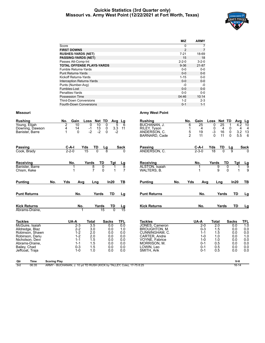#### **Quickie Statistics (3rd Quarter only) Missouri vs. Army West Point (12/22/2021 at Fort Worth, Texas)**



|                                   | <b>MIZ</b>  | <b>ARMY</b> |
|-----------------------------------|-------------|-------------|
| Score                             | 0           | 7           |
| <b>FIRST DOWNS</b>                | 2           | 7           |
| <b>RUSHES-YARDS (NET)</b>         | $7 - 21$    | 18-69       |
| <b>PASSING-YARDS (NET)</b>        | 15          | 18          |
| Passes Att-Comp-Int               | $2 - 2 - 0$ | $3 - 2 - 0$ |
| <b>TOTAL OFFENSE PLAYS-YARDS</b>  | $9 - 36$    | $21 - 87$   |
| Fumble Returns-Yards              | $0 - 0$     | $0 - 0$     |
| <b>Punt Returns-Yards</b>         | $0 - 0$     | $0 - 0$     |
| Kickoff Returns-Yards             | $1 - 15$    | $0-0$       |
| <b>Interception Returns-Yards</b> | $0 - 0$     | $0 - 0$     |
| Punts (Number-Avg)                | -0          | -0          |
| Fumbles-Lost                      | $0 - 0$     | $0-0$       |
| Penalties-Yards                   | $0 - 0$     | $0 - 0$     |
| Possession Time                   | 04:46       | 10:14       |
| <b>Third-Down Conversions</b>     | $1 - 2$     | $2 - 3$     |
| <b>Fourth-Down Conversions</b>    | $0 - 1$     | $1 - 1$     |

| <b>Rushing</b><br>Young, Elijah<br>Downing, Dawson<br>Banister, Barre                                                                                              | No.<br>Gain<br>Net TD<br><b>Rushing</b><br>Loss<br>Avg<br>Lg<br>$\overline{2}$<br>0<br>$\overline{10}$<br>$\mathbf{0}$<br>5<br><b>BUCHANAN, J.</b><br>10<br>6<br>$13$<br>0<br>3.3<br>4<br>14<br>$-1$<br>11<br>RILEY, Tyson<br>$-2$<br>$-2$<br>0<br>$-2$<br>1<br>$\Omega$<br>ANDERSON, C.<br>BARNARD, Cade                                                                                                                                                                 | No.<br>6<br>1<br>$\frac{5}{2}$ | Gain<br>$\overline{25}$<br>4<br>19<br>11                                                     | Loss<br>Net TD<br>0<br>$\overline{25}$<br>0<br>4<br>$-3$<br>16<br>11<br>$\Omega$ | Avg<br>1<br>4.2<br>0<br>0<br>$\Omega$                                | Lg<br>$\overline{10}$<br>$\overline{4}$<br>$\overline{4}$<br>$\begin{array}{c} 3.2 \\ 5.5 \end{array}$<br>13<br>6 |
|--------------------------------------------------------------------------------------------------------------------------------------------------------------------|---------------------------------------------------------------------------------------------------------------------------------------------------------------------------------------------------------------------------------------------------------------------------------------------------------------------------------------------------------------------------------------------------------------------------------------------------------------------------|--------------------------------|----------------------------------------------------------------------------------------------|----------------------------------------------------------------------------------|----------------------------------------------------------------------|-------------------------------------------------------------------------------------------------------------------|
| Passing<br>Cook, Brady                                                                                                                                             | $C-A-I$<br>TD<br>Yds<br><b>Sack</b><br>Passing<br><u>Lg</u><br>$2 - 2 - 0$<br>15<br>$\overline{0}$<br>ANDERSON, C.<br><sup>0</sup>                                                                                                                                                                                                                                                                                                                                        |                                | $C-A-I$<br>$2 - 3 - 0$                                                                       | Yds<br>TD<br>18<br>$\overline{0}$                                                | Lg<br>$\overline{9}$                                                 | <b>Sack</b>                                                                                                       |
| Receiving<br>Banister, Barre<br>Chism, Keke                                                                                                                        | TD<br>No.<br>Yards<br>Tgt<br>Receiving<br><u>Lg</u><br>ह<br>8<br>0<br><b>ALSTON, Isaiah</b><br>$\overline{7}$<br>$\overline{7}$<br>$\Omega$<br>WALTERS, B.<br>1                                                                                                                                                                                                                                                                                                           |                                | No.<br>1                                                                                     | TD<br>Yards<br>9<br>9                                                            | <b>Tgt</b><br>0<br>$\Omega$                                          | $\frac{Lg}{9}$<br>9                                                                                               |
| <b>Punting</b>                                                                                                                                                     | No.<br>Yds<br>In20<br>TВ<br><b>Punting</b><br>Avg<br>Lng                                                                                                                                                                                                                                                                                                                                                                                                                  | Yds<br>No.                     | Avg                                                                                          | Lng                                                                              | In20                                                                 | TВ                                                                                                                |
| <b>Punt Returns</b>                                                                                                                                                | TD<br><b>Punt Returns</b><br>No.<br>Yards<br>Lg                                                                                                                                                                                                                                                                                                                                                                                                                           |                                | No.                                                                                          | Yards                                                                            | TD                                                                   | Lg                                                                                                                |
| <b>Kick Returns</b><br>Abrams-Draine.                                                                                                                              | <b>Kick Returns</b><br>No.<br>Yards<br>TD<br><u>Lg</u><br>$\overline{0}$<br>$\overline{15}$<br>15                                                                                                                                                                                                                                                                                                                                                                         |                                | No.                                                                                          | Yards                                                                            | TD                                                                   | Lg                                                                                                                |
| <b>Tackles</b><br>McGuire, Isaiah<br>Alldredge, Blaz<br>Robinson, Shawn<br>Robinson, Dariu<br>Nicholson, Devi<br>Abrams-Draine,<br>Bailey, Chad<br>Jeffcoat, Traja | UA-A<br><b>Total</b><br><b>Sacks</b><br>TFL<br><b>Tackles</b><br><b>JONES, Cameron</b><br>3.5<br>0.0<br>$2 - 3$<br>0.0<br>$2 - 2$<br>3.0<br>0.0<br>1.0<br>BROUGHTON, M.<br>$1 - 2$<br>2.0<br>0.0<br>0.0<br>CUNNINGHAM, C.<br>$1 - 2$<br>2.0<br>CARTER, Andre<br>0.0<br>0.0<br>$1 - 1$<br>1.5<br>0.0<br>0.0<br>VOYNE, Fabrice<br>$1 - 1$<br>1.5<br>0.0<br>0.0<br>MORRISON, M.<br>$0 - 3$<br>1.5<br>0.0<br>0.0<br>LOWIN, Leo<br>$1 - 0$<br>1.0<br>0.0<br>0.0<br>SMITH, Arik |                                | UA-A<br>$2 - 0$<br>$0 - 3$<br>$1 - 1$<br>$1 - 0$<br>$1 - 0$<br>$0 - 1$<br>$0 - 1$<br>$0 - 1$ | <b>Total</b><br>2.0<br>1.5<br>1.5<br>1.0<br>1.0<br>0.5<br>0.5<br>0.5             | <b>Sacks</b><br>0.0<br>0.0<br>0.0<br>0.0<br>0.0<br>0.0<br>0.0<br>0.0 | TFL,<br>1.0<br>0.0<br>0.0<br>1.0<br>0.0<br>0.0<br>0.0<br>0.0                                                      |
| Qtr<br><b>Time</b><br>3rd<br>06:35                                                                                                                                 | <b>Scoring Play</b><br>ARMY - BUCHANAN, J. 10 yd TD RUSH (KICK by TALLEY, Cole), 17-75 8:25                                                                                                                                                                                                                                                                                                                                                                               |                                |                                                                                              |                                                                                  | V-H<br>$16 - 14$                                                     |                                                                                                                   |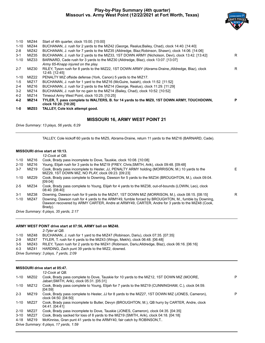#### **Play-by-Play Summary (4th quarter) Missouri vs. Army West Point (12/22/2021 at Fort Worth, Texas)**



| MIZ03         | <b>TALLEY, Cole kick attempt good.</b>                                                                             |                                                                                                   |
|---------------|--------------------------------------------------------------------------------------------------------------------|---------------------------------------------------------------------------------------------------|
| MIZ14         | TYLER, T. pass complete to WALTERS, B. for 14 yards to the MIZ0, 1ST DOWN ARMY, TOUCHDOWN,<br>clock 10:20. [10:20] | P                                                                                                 |
| MIZ14         | Timeout Army West Point, clock 10:25. [10:25]                                                                      |                                                                                                   |
| MIZ14         | BUCHANAN, J. rush for no gain to the MIZ14 (Bailey, Chad), clock 10:52. [10:52]                                    |                                                                                                   |
| MIZ16         | BUCHANAN, J. rush for 2 yards to the MIZ14 (George, Realus), clock 11:29. [11:29]                                  |                                                                                                   |
| MIZ17         | BUCHANAN, J. rush for 1 yard to the MIZ16 (McGuire, Isaiah), clock 11:52. [11:52]                                  |                                                                                                   |
| MIZ22         | PENALTY MIZ offside defense (York, Canon) 5 yards to the MIZ17.                                                    |                                                                                                   |
|               | 12:45 [12:45]                                                                                                      | R.                                                                                                |
|               | Army 65-Knapp injured on the play.                                                                                 |                                                                                                   |
| 1-10<br>MIZ33 | BARNARD, Cade rush for 3 yards to the MIZ30 (Alldredge, Blaz), clock 13:07. [13:07]                                |                                                                                                   |
| MIZ35         | BUCHANAN, J. rush for 2 yards to the MIZ33, 1ST DOWN ARMY (Nicholson, Devi), clock 13:42. [13:42]                  | R.                                                                                                |
| MIZ42         | BUCHANAN, J. rush for 7 yards to the MIZ35 (Alldredge, Blaz; Robinson, Shawn), clock 14:06. [14:06]                |                                                                                                   |
| MIZ44         | BUCHANAN, J. rush for 2 yards to the MIZ42 (George, Realus; Bailey, Chad), clock 14:40. [14:40]                    |                                                                                                   |
| MIZ44<br>1-10 | Start of 4th quarter, clock 15:00, [15:00]                                                                         |                                                                                                   |
|               | MIZ30                                                                                                              | RILEY, Tyson rush for 8 yards to the MIZ22, 1ST DOWN ARMY (Abrams-Draine,;Alldredge, Blaz), clock |

#### **MISSOURI 16, ARMY WEST POINT 21**

*Drive Summary: 13 plays, 56 yards, 6:29*

TALLEY, Cole kickoff 60 yards to the MIZ5, Abrams-Draine, return 11 yards to the MIZ16 (BARNARD, Cade).

#### **MISSOURI drive start at 10:13.**

|          |       | 12-Cook at QB.                                                                                                                                                                                                   |    |
|----------|-------|------------------------------------------------------------------------------------------------------------------------------------------------------------------------------------------------------------------|----|
| 1-10     | MIZ16 | Cook, Brady pass incomplete to Dove, Tauskie, clock 10:08. [10:08]                                                                                                                                               |    |
| $2 - 10$ | MIZ16 | Young, Elijah rush for 3 yards to the MIZ19 (FREY, Chris: SMITH, Arik), clock 09:48. [09:48]                                                                                                                     |    |
| $3 - 7$  | MIZ19 | Cook, Brady pass incomplete to Hester, JJ, PENALTY ARMY holding (MORRISON, M.) 10 yards to the<br>MIZ29, 1ST DOWN MIZ, NO PLAY, clock 09:23. [09:23]                                                             | F. |
| $1 - 10$ | MIZ29 | Cook, Brady pass complete to Downing, Dawson for 5 yards to the MIZ34 (BROUGHTON, M.), clock 09:04.<br>[09:04]                                                                                                   |    |
| $2 - 5$  | MIZ34 | Cook, Brady pass complete to Young, Elijah for 4 yards to the MIZ38, out-of-bounds (LOWIN, Leo), clock<br>08:40. [08:40]                                                                                         |    |
| $3-1$    | MIZ38 | Downing, Dawson rush for 9 yards to the MIZ47, 1ST DOWN MIZ (MORRISON, M.), clock 08:15. [08:15]                                                                                                                 | R  |
| $1 - 10$ | MIZ47 | Downing, Dawson rush for 4 yards to the ARMY49, fumble forced by BROUGHTON, M., fumble by Downing,<br>Dawson recovered by ARMY CARTER, Andre at ARMY49, CARTER, Andre for 3 yards to the MIZ48 (Cook,<br>Brady). |    |
|          |       | Drive Summary: 6 plays, 35 yards, 2:17                                                                                                                                                                           |    |

#### **ARMY WEST POINT drive start at 07:56, ARMY ball on MIZ48.**

|       |                                       | 2-Tyler at QB.                                                                                               |  |  |  |  |  |
|-------|---------------------------------------|--------------------------------------------------------------------------------------------------------------|--|--|--|--|--|
| 1-10  |                                       | MIZ48 BUCHANAN, J. rush for 1 yard to the MIZ47 (Robinson, Dariu), clock 07:35. [07:35]                      |  |  |  |  |  |
| $2-9$ |                                       | MIZ47 TYLER, T. rush for 4 yards to the MIZ43 (Wingo, Mekhi), clock 06:48. [06:48]                           |  |  |  |  |  |
|       |                                       | 3-5 MIZ43 RILEY, Tyson rush for 2 yards to the MIZ41 (Robinson, Dariu:Alldredge, Blaz), clock 06:16. [06:16] |  |  |  |  |  |
|       |                                       | 4-3 MIZ41 HARDING, Zach punt 39 yards to the MIZ2, downed.                                                   |  |  |  |  |  |
|       | Drive Summary: 3 plays, 7 yards, 2:09 |                                                                                                              |  |  |  |  |  |

#### **MISSOURI drive start at 05:47.**

|          |       | 12-Cook at QB.                                                                                                                           |   |
|----------|-------|------------------------------------------------------------------------------------------------------------------------------------------|---|
| $1 - 10$ | MIZ02 | Cook, Brady pass complete to Dove, Tauskie for 10 yards to the MIZ12, 1ST DOWN MIZ (MOORE,<br>Jabari: SMITH, Arik), clock 05:31. [05:31] | P |
| $1 - 10$ | MIZ12 | Cook, Brady pass complete to Young, Elijah for 7 yards to the MIZ19 (CUNNINGHAM, C.), clock 04:59.<br>[04:59]                            |   |
| $2 - 3$  | MIZ19 | Cook, Brady pass complete to Hester, JJ for 8 yards to the MIZ27, 1ST DOWN MIZ (JONES, Cameron),<br>clock 04:50. [04:50]                 | P |
| $1 - 10$ | MIZ27 | Cook, Brady pass incomplete to Butler, Devyn (BROUGHTON, M.), QB hurry by CARTER, Andre, clock<br>04:41. [04:41]                         |   |
| $2 - 10$ | MIZ27 | Cook, Brady pass incomplete to Dove, Tauskie (JONES, Cameron), clock 04:35. [04:35]                                                      |   |
| $3 - 10$ | MIZ27 | Cook, Brady sacked for loss of 8 yards to the MIZ19 (SMITH, Arik), clock 04:18. [04:18]                                                  |   |
| 4-18     | MIZ19 | McKinniss, Gran punt 41 yards to the ARMY40, fair catch by ROBINSON, T                                                                   |   |
|          |       | Drive Summary: 6 plays, 17 yards, 1:59                                                                                                   |   |
|          |       |                                                                                                                                          |   |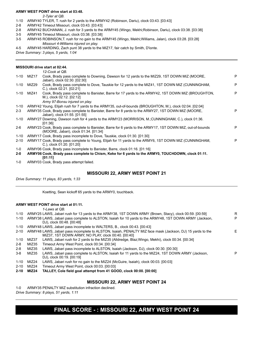#### **ARMY WEST POINT drive start at 03:48.**

*2-Tyler at QB.*

- 1-10 ARMY40 TYLER, T. rush for 2 yards to the ARMY42 (Robinson, Dariu), clock 03:43. [03:43]
- 2-8 ARMY42 Timeout Missouri, clock 03:43. [03:43]
- 2-8 ARMY42 BUCHANAN, J. rush for 3 yards to the ARMY45 (Wingo, Mekhi;Robinson, Dariu), clock 03:38. [03:38]
- 3-5 ARMY45 Timeout Missouri, clock 03:38. [03:38]
- 3-5 ARMY45 ROBINSON,T. rush for no gain to the ARMY45 (Wingo, Mekhi;Williams, Jalan), clock 03:28. [03:28] *Missouri 4-Williams injured on play.*
- 4-5 ARMY45 HARDING, Zach punt 38 yards to the MIZ17, fair catch by Smith, D'ionte.

*Drive Summary: 3 plays, 5 yards, 1:04*

#### **MISSOURI drive start at 02:44.**

|          |            | 12-Cook at QB.                                                                                                                                      |   |
|----------|------------|-----------------------------------------------------------------------------------------------------------------------------------------------------|---|
|          | 1-10 MIZ17 | Cook, Brady pass complete to Downing, Dawson for 12 yards to the MIZ29, 1ST DOWN MIZ (MOORE,<br>Jabari), clock 02:30. [02:30]                       | P |
| $1 - 10$ | MIZ29      | Cook, Brady pass complete to Dove, Tauskie for 12 yards to the MIZ41, 1ST DOWN MIZ (CUNNINGHAM,<br>C.), clock 02:21. [02:21]                        | P |
| 1-10     | MIZ41      | Cook, Brady pass complete to Banister, Barre for 17 yards to the ARMY42, 1ST DOWN MIZ (BROUGHTON,<br>M.), clock 02:12. [02:12]                      | P |
|          |            | Army 97-Bonsu injured on play.                                                                                                                      |   |
| 1-10     |            | ARMY42 Young, Elijah rush for 7 yards to the ARMY35, out-of-bounds (BROUGHTON, M.), clock 02:04. [02:04]                                            |   |
| $2 - 3$  |            | ARMY35 Cook, Brady pass complete to Banister, Barre for 8 yards to the ARMY27, 1ST DOWN MIZ (MOORE,<br>Jabari), clock 01:55. [01:55]                | P |
| 1-10     |            | ARMY27 Downing, Dawson rush for 4 yards to the ARMY23 (MORRISON, M.;CUNNINGHAM, C.), clock 01:36.<br>[01:36]                                        |   |
| $2-6$    |            | ARMY23 Cook, Brady pass complete to Banister, Barre for 6 yards to the ARMY17, 1ST DOWN MIZ, out-of-bounds<br>(MOORE, Jabari), clock 01:34, [01:34] | P |
| 1-10     |            | ARMY17 Cook, Brady pass incomplete to Dove, Tauskie, clock 01:30. [01:30]                                                                           |   |
| $2 - 10$ |            | ARMY17 Cook, Brady pass complete to Young, Elijah for 11 yards to the ARMY6, 1ST DOWN MIZ (CUNNINGHAM,<br>C.), clock 01:20. [01:20]                 | P |
| 1-0      |            | ARMY06 Cook, Brady pass incomplete to Banister, Barre, clock 01:16, [01:16]                                                                         |   |
| 2-0      |            | ARMY06 Cook, Brady pass complete to Chism, Keke for 6 yards to the ARMY0, TOUCHDOWN, clock 01:11.<br>[01:11]                                        |   |

1-0 ARMY03 Cook, Brady pass attempt failed.

#### **MISSOURI 22, ARMY WEST POINT 21**

*Drive Summary: 11 plays, 83 yards, 1:33*

Koetting, Sean kickoff 65 yards to the ARMY0, touchback.

#### **ARMY WEST POINT drive start at 01:11.**

*1-Laws at QB.*

| 1-10     |                   | ARMY25 LAWS, Jabari rush for 13 yards to the ARMY38, 1ST DOWN ARMY (Brown, Stacy), clock 00:59. [00:59]    | R  |
|----------|-------------------|------------------------------------------------------------------------------------------------------------|----|
| $1 - 10$ |                   | ARMY38 LAWS, Jabari pass complete to ALSTON, Isaiah for 10 yards to the ARMY48, 1ST DOWN ARMY (Jackson,    | P  |
|          |                   | DJ), clock 00:48. [00:48]                                                                                  |    |
| 1-10     |                   | ARMY48 LAWS, Jabari pass incomplete to WALTERS, B., clock 00:43. [00:43]                                   |    |
| $2 - 10$ |                   | ARMY48 LAWS, Jabari pass incomplete to ALSTON, Isaiah, PENALTY MIZ face mask (Jackson, DJ) 15 yards to the | E. |
|          |                   | MIZ37, 1ST DOWN ARMY, NO PLAY, clock 00:40. [00:40]                                                        |    |
| 1-10     | MIZ37             | LAWS, Jabari rush for 2 yards to the MIZ35 (Alldredge, Blaz; Wingo, Mekhi), clock 00:34. [00:34]           |    |
| 2-8      | MIZ35             | Timeout Army West Point, clock 00:34. [00:34]                                                              |    |
| $2 - 8$  | MIZ35             | LAWS, Jabari pass incomplete to ALSTON, Isaiah (Jackson, DJ), clock 00:30. [00:30]                         |    |
| $3 - 8$  | MIZ35             | LAWS, Jabari pass complete to ALSTON, Isaiah for 11 yards to the MIZ24, 1ST DOWN ARMY (Jackson,            | P  |
|          |                   | DJ), clock 00:19. [00:19]                                                                                  |    |
| $1 - 10$ | MIZ <sub>24</sub> | LAWS, Jabari rush for no gain to the MIZ24 (McGuire, Isaiah), clock 00:03. [00:03]                         |    |
| $2 - 10$ | MIZ24             | Timeout Army West Point, clock 00:03. [00:03]                                                              |    |
| $2 - 10$ | MIZ24             | TALLEY, Cole field goal attempt from 41 GOOD, clock 00:00. [00:00]                                         |    |
|          |                   |                                                                                                            |    |

#### **MISSOURI 22, ARMY WEST POINT 24**

1-0 ARMY35 PENALTY MIZ substitution infraction declined. *Drive Summary: 8 plays, 51 yards, 1:11*

## **FINAL SCORE - : MISSOURI 22, ARMY WEST POINT 24**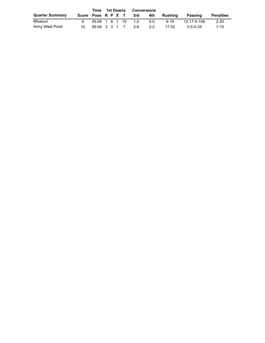|                        |                    |  |  | Time 1st Downs Conversions |                    |         |         |             |                  |
|------------------------|--------------------|--|--|----------------------------|--------------------|---------|---------|-------------|------------------|
| <b>Quarter Summary</b> | Score Poss R P X T |  |  |                            | 3rd                | 4th     | Rushina | Passing     | <b>Penalties</b> |
| Missouri               |                    |  |  |                            | 05:56 1 8 1 10 1-2 | ი-ი     | 6-19    | 12-17-0-106 | $2 - 20$         |
| Army West Point        | 10                 |  |  |                            | 09:04 3 3 1 7 2-6  | $2 - 2$ | 17-52   | 3-5-0-35    | $1 - 10$         |